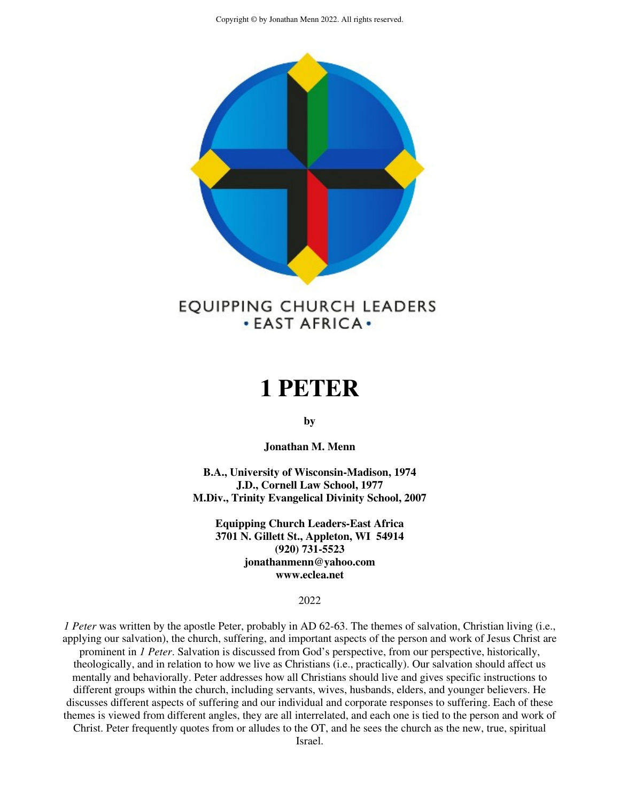

# **. EAST AFRICA.**

## **1 PETER**

**by** 

**Jonathan M. Menn** 

**B.A., University of Wisconsin-Madison, 1974 J.D., Cornell Law School, 1977 M.Div., Trinity Evangelical Divinity School, 2007** 

**Equipping Church Leaders-East Africa 3701 N. Gillett St., Appleton, WI 54914 (920) 731-5523 jonathanmenn@yahoo.com www.eclea.net** 

2022

*1 Peter* was written by the apostle Peter, probably in AD 62-63. The themes of salvation, Christian living (i.e., applying our salvation), the church, suffering, and important aspects of the person and work of Jesus Christ are prominent in *1 Peter*. Salvation is discussed from God's perspective, from our perspective, historically, theologically, and in relation to how we live as Christians (i.e., practically). Our salvation should affect us mentally and behaviorally. Peter addresses how all Christians should live and gives specific instructions to different groups within the church, including servants, wives, husbands, elders, and younger believers. He discusses different aspects of suffering and our individual and corporate responses to suffering. Each of these themes is viewed from different angles, they are all interrelated, and each one is tied to the person and work of

Christ. Peter frequently quotes from or alludes to the OT, and he sees the church as the new, true, spiritual

Israel.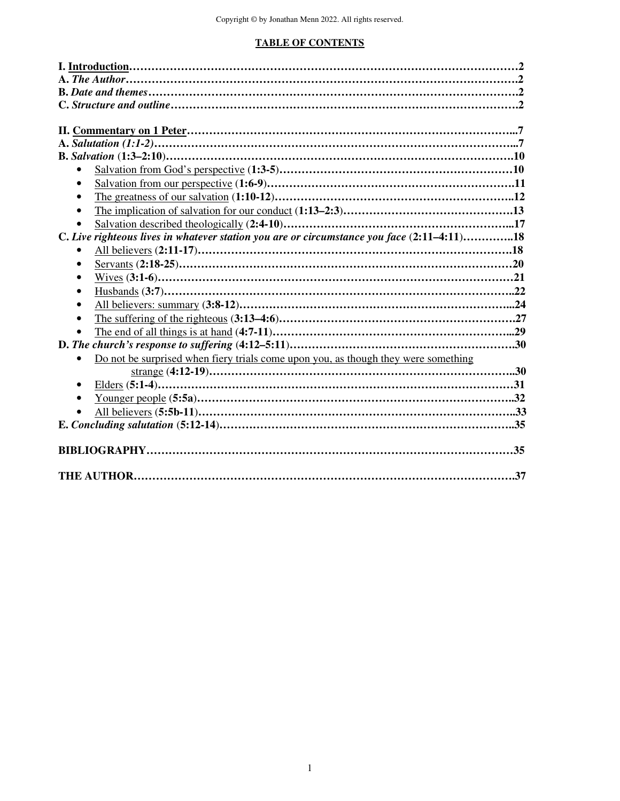## **TABLE OF CONTENTS**

| C. Live righteous lives in whatever station you are or circumstance you face (2:11–4:11)18      |  |
|-------------------------------------------------------------------------------------------------|--|
|                                                                                                 |  |
|                                                                                                 |  |
|                                                                                                 |  |
|                                                                                                 |  |
|                                                                                                 |  |
|                                                                                                 |  |
|                                                                                                 |  |
|                                                                                                 |  |
| Do not be surprised when fiery trials come upon you, as though they were something<br>$\bullet$ |  |
|                                                                                                 |  |
| $\bullet$                                                                                       |  |
| $\bullet$                                                                                       |  |
|                                                                                                 |  |
|                                                                                                 |  |
|                                                                                                 |  |
|                                                                                                 |  |
|                                                                                                 |  |
|                                                                                                 |  |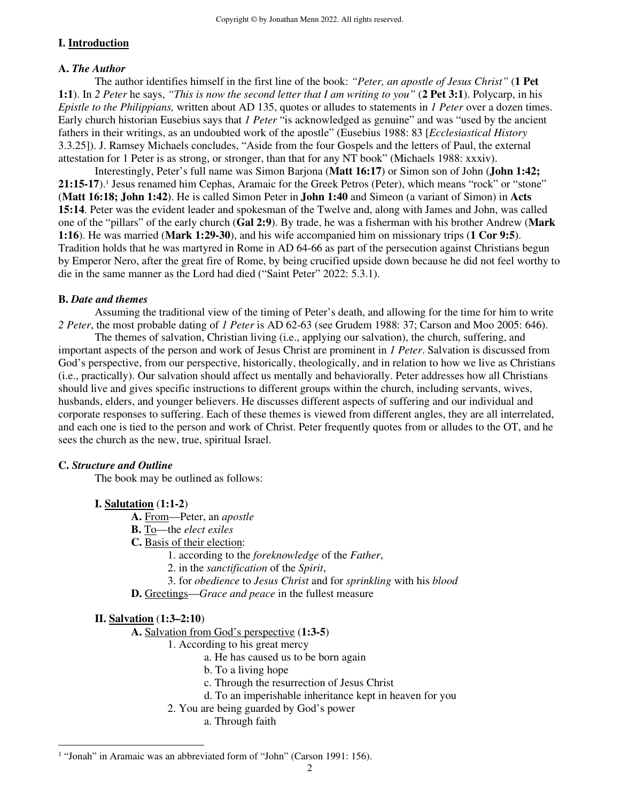## **I. Introduction**

#### **A.** *The Author*

 The author identifies himself in the first line of the book: *"Peter, an apostle of Jesus Christ"* (**1 Pet 1:1**). In *2 Peter* he says, *"This is now the second letter that I am writing to you"* (**2 Pet 3:1**). Polycarp, in his *Epistle to the Philippians,* written about AD 135, quotes or alludes to statements in *1 Peter* over a dozen times. Early church historian Eusebius says that *1 Peter* "is acknowledged as genuine" and was "used by the ancient fathers in their writings, as an undoubted work of the apostle" (Eusebius 1988: 83 [*Ecclesiastical History*  3.3.25]). J. Ramsey Michaels concludes, "Aside from the four Gospels and the letters of Paul, the external attestation for 1 Peter is as strong, or stronger, than that for any NT book" (Michaels 1988: xxxiv).

 Interestingly, Peter's full name was Simon Barjona (**Matt 16:17**) or Simon son of John (**John 1:42;**  21:15-17).<sup>1</sup> Jesus renamed him Cephas, Aramaic for the Greek Petros (Peter), which means "rock" or "stone" (**Matt 16:18; John 1:42**). He is called Simon Peter in **John 1:40** and Simeon (a variant of Simon) in **Acts 15:14**. Peter was the evident leader and spokesman of the Twelve and, along with James and John, was called one of the "pillars" of the early church (**Gal 2:9**). By trade, he was a fisherman with his brother Andrew (**Mark 1:16**). He was married (**Mark 1:29-30**), and his wife accompanied him on missionary trips (**1 Cor 9:5**). Tradition holds that he was martyred in Rome in AD 64-66 as part of the persecution against Christians begun by Emperor Nero, after the great fire of Rome, by being crucified upside down because he did not feel worthy to die in the same manner as the Lord had died ("Saint Peter" 2022: 5.3.1).

#### **B.** *Date and themes*

 Assuming the traditional view of the timing of Peter's death, and allowing for the time for him to write *2 Peter*, the most probable dating of *1 Peter* is AD 62-63 (see Grudem 1988: 37; Carson and Moo 2005: 646).

The themes of salvation, Christian living (i.e., applying our salvation), the church, suffering, and important aspects of the person and work of Jesus Christ are prominent in *1 Peter*. Salvation is discussed from God's perspective, from our perspective, historically, theologically, and in relation to how we live as Christians (i.e., practically). Our salvation should affect us mentally and behaviorally. Peter addresses how all Christians should live and gives specific instructions to different groups within the church, including servants, wives, husbands, elders, and younger believers. He discusses different aspects of suffering and our individual and corporate responses to suffering. Each of these themes is viewed from different angles, they are all interrelated, and each one is tied to the person and work of Christ. Peter frequently quotes from or alludes to the OT, and he sees the church as the new, true, spiritual Israel.

#### **C.** *Structure and Outline*

The book may be outlined as follows:

#### **I. Salutation** (**1:1-2**)

 **A.** From—Peter, an *apostle*

- **B.** To—the *elect exiles*
- **C.** Basis of their election:
	- 1. according to the *foreknowledge* of the *Father*,
	- 2. in the *sanctification* of the *Spirit*,
	- 3. for *obedience* to *Jesus Christ* and for *sprinkling* with his *blood*
- **D.** Greetings—*Grace and peace* in the fullest measure

#### **II. Salvation** (**1:3–2:10**)

**A.** Salvation from God's perspective (**1:3-5**)

- 1. According to his great mercy
	- a. He has caused us to be born again
	- b. To a living hope
	- c. Through the resurrection of Jesus Christ
	- d. To an imperishable inheritance kept in heaven for you
- 2. You are being guarded by God's power

a. Through faith

<sup>&</sup>lt;sup>1</sup> "Jonah" in Aramaic was an abbreviated form of "John" (Carson 1991: 156).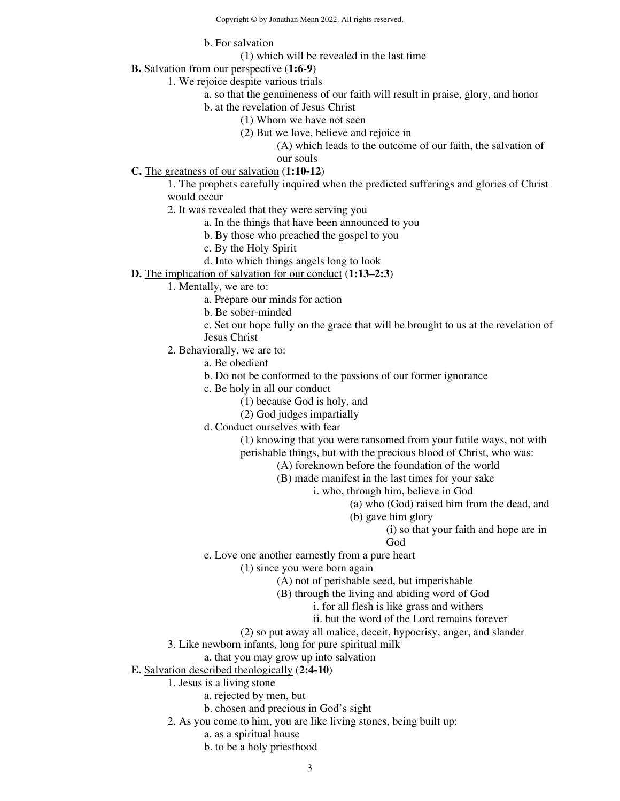b. For salvation

(1) which will be revealed in the last time

**B.** Salvation from our perspective (**1:6-9**)

1. We rejoice despite various trials

- a. so that the genuineness of our faith will result in praise, glory, and honor
	- b. at the revelation of Jesus Christ
		- (1) Whom we have not seen
		- (2) But we love, believe and rejoice in

(A) which leads to the outcome of our faith, the salvation of our souls

#### **C.** The greatness of our salvation (**1:10-12**)

1. The prophets carefully inquired when the predicted sufferings and glories of Christ would occur

2. It was revealed that they were serving you

a. In the things that have been announced to you

- b. By those who preached the gospel to you
- c. By the Holy Spirit
- d. Into which things angels long to look
- **D.** The implication of salvation for our conduct (**1:13–2:3**)
	- 1. Mentally, we are to:
		- a. Prepare our minds for action
		- b. Be sober-minded
		- c. Set our hope fully on the grace that will be brought to us at the revelation of Jesus Christ
	- 2. Behaviorally, we are to:
		- a. Be obedient
		- b. Do not be conformed to the passions of our former ignorance
		- c. Be holy in all our conduct
			- (1) because God is holy, and
			- (2) God judges impartially
		- d. Conduct ourselves with fear

(1) knowing that you were ransomed from your futile ways, not with perishable things, but with the precious blood of Christ, who was:

- (A) foreknown before the foundation of the world
	- (B) made manifest in the last times for your sake
		- i. who, through him, believe in God
			- (a) who (God) raised him from the dead, and
			- (b) gave him glory
				- (i) so that your faith and hope are in

God

e. Love one another earnestly from a pure heart

(1) since you were born again

(A) not of perishable seed, but imperishable

- (B) through the living and abiding word of God
	- i. for all flesh is like grass and withers
	- ii. but the word of the Lord remains forever
- (2) so put away all malice, deceit, hypocrisy, anger, and slander
- 3. Like newborn infants, long for pure spiritual milk
	- a. that you may grow up into salvation
- **E.** Salvation described theologically (**2:4-10**)
	- 1. Jesus is a living stone
		- a. rejected by men, but
		- b. chosen and precious in God's sight
	- 2. As you come to him, you are like living stones, being built up:
		- a. as a spiritual house
		- b. to be a holy priesthood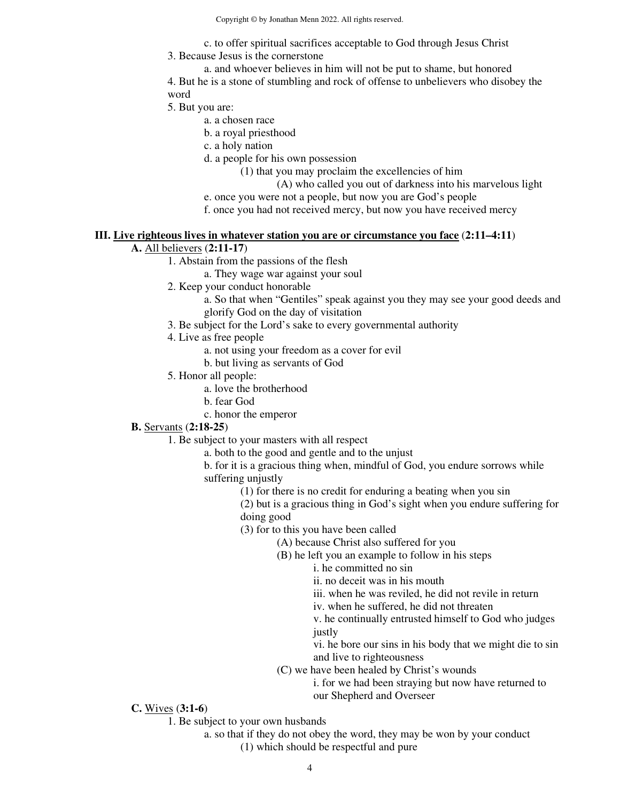c. to offer spiritual sacrifices acceptable to God through Jesus Christ

3. Because Jesus is the cornerstone

a. and whoever believes in him will not be put to shame, but honored 4. But he is a stone of stumbling and rock of offense to unbelievers who disobey the word

5. But you are:

a. a chosen race

b. a royal priesthood

c. a holy nation

d. a people for his own possession

(1) that you may proclaim the excellencies of him

(A) who called you out of darkness into his marvelous light

e. once you were not a people, but now you are God's people

f. once you had not received mercy, but now you have received mercy

#### **III. Live righteous lives in whatever station you are or circumstance you face** (**2:11–4:11**)

## **A.** All believers (**2:11-17**)

1. Abstain from the passions of the flesh

a. They wage war against your soul

2. Keep your conduct honorable

a. So that when "Gentiles" speak against you they may see your good deeds and glorify God on the day of visitation

3. Be subject for the Lord's sake to every governmental authority

4. Live as free people

a. not using your freedom as a cover for evil

b. but living as servants of God

- 5. Honor all people:
	- a. love the brotherhood
	- b. fear God
	- c. honor the emperor

#### **B.** Servants (**2:18-25**)

1. Be subject to your masters with all respect

a. both to the good and gentle and to the unjust

b. for it is a gracious thing when, mindful of God, you endure sorrows while suffering unjustly

(1) for there is no credit for enduring a beating when you sin

(2) but is a gracious thing in God's sight when you endure suffering for doing good

(3) for to this you have been called

(A) because Christ also suffered for you

(B) he left you an example to follow in his steps

i. he committed no sin

ii. no deceit was in his mouth

iii. when he was reviled, he did not revile in return

iv. when he suffered, he did not threaten

v. he continually entrusted himself to God who judges justly

vi. he bore our sins in his body that we might die to sin and live to righteousness

(C) we have been healed by Christ's wounds

i. for we had been straying but now have returned to our Shepherd and Overseer

## **C.** Wives (**3:1-6**)

1. Be subject to your own husbands

a. so that if they do not obey the word, they may be won by your conduct (1) which should be respectful and pure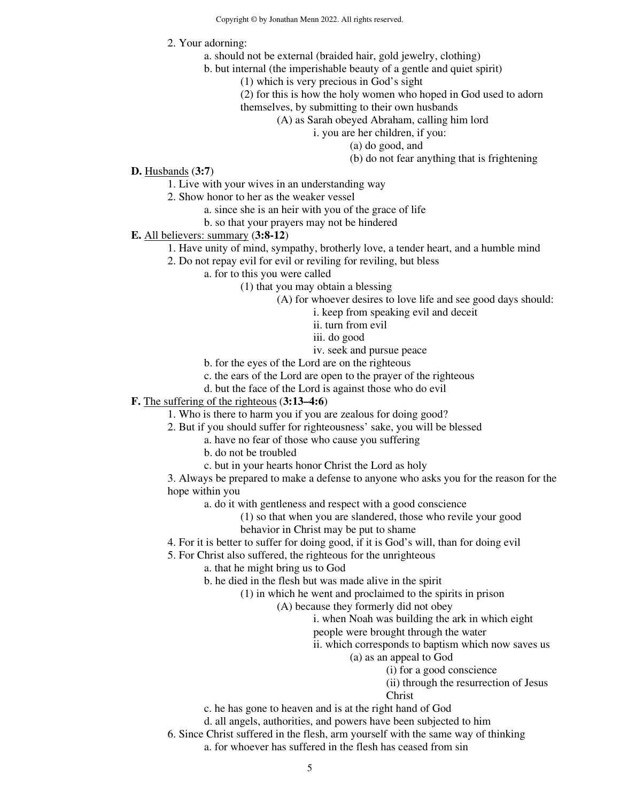- 2. Your adorning:
	- a. should not be external (braided hair, gold jewelry, clothing)
	- b. but internal (the imperishable beauty of a gentle and quiet spirit)
		- (1) which is very precious in God's sight
		- (2) for this is how the holy women who hoped in God used to adorn
		- themselves, by submitting to their own husbands
			- (A) as Sarah obeyed Abraham, calling him lord

i. you are her children, if you:

- (a) do good, and
- (b) do not fear anything that is frightening

- **D.** Husbands (**3:7**)
	- 1. Live with your wives in an understanding way
	- 2. Show honor to her as the weaker vessel
		- a. since she is an heir with you of the grace of life
		- b. so that your prayers may not be hindered
- **E.** All believers: summary (**3:8-12**)
	- 1. Have unity of mind, sympathy, brotherly love, a tender heart, and a humble mind
	- 2. Do not repay evil for evil or reviling for reviling, but bless
		- a. for to this you were called
			- (1) that you may obtain a blessing
				- (A) for whoever desires to love life and see good days should:
					- i. keep from speaking evil and deceit
					- ii. turn from evil
					- iii. do good
					- iv. seek and pursue peace
			- b. for the eyes of the Lord are on the righteous
			- c. the ears of the Lord are open to the prayer of the righteous
		- d. but the face of the Lord is against those who do evil
- **F.** The suffering of the righteous (**3:13–4:6**)
	- 1. Who is there to harm you if you are zealous for doing good?
	- 2. But if you should suffer for righteousness' sake, you will be blessed
		- a. have no fear of those who cause you suffering
		- b. do not be troubled
		- c. but in your hearts honor Christ the Lord as holy

3. Always be prepared to make a defense to anyone who asks you for the reason for the hope within you

a. do it with gentleness and respect with a good conscience

- (1) so that when you are slandered, those who revile your good
- behavior in Christ may be put to shame
- 4. For it is better to suffer for doing good, if it is God's will, than for doing evil
- 5. For Christ also suffered, the righteous for the unrighteous
	- a. that he might bring us to God
	- b. he died in the flesh but was made alive in the spirit
		- (1) in which he went and proclaimed to the spirits in prison
			- (A) because they formerly did not obey
				- i. when Noah was building the ark in which eight
				- people were brought through the water
				- ii. which corresponds to baptism which now saves us
					- (a) as an appeal to God
						- (i) for a good conscience
						- (ii) through the resurrection of Jesus
						- Christ
	- c. he has gone to heaven and is at the right hand of God
	- d. all angels, authorities, and powers have been subjected to him
- 6. Since Christ suffered in the flesh, arm yourself with the same way of thinking a. for whoever has suffered in the flesh has ceased from sin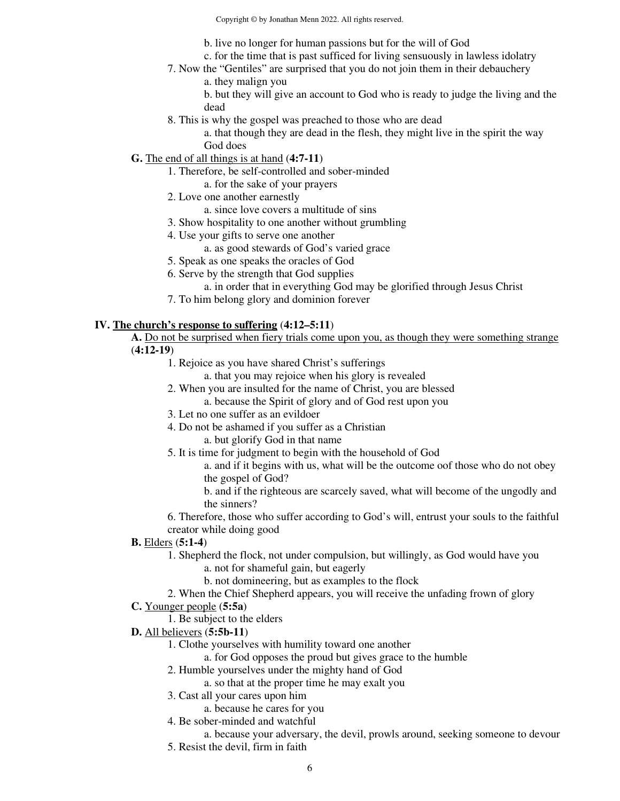Copyright © by Jonathan Menn 2022. All rights reserved.

b. live no longer for human passions but for the will of God

- c. for the time that is past sufficed for living sensuously in lawless idolatry
- 7. Now the "Gentiles" are surprised that you do not join them in their debauchery a. they malign you

b. but they will give an account to God who is ready to judge the living and the dead

8. This is why the gospel was preached to those who are dead

a. that though they are dead in the flesh, they might live in the spirit the way God does

- **G.** The end of all things is at hand (**4:7-11**)
	- 1. Therefore, be self-controlled and sober-minded
		- a. for the sake of your prayers
	- 2. Love one another earnestly
		- a. since love covers a multitude of sins
	- 3. Show hospitality to one another without grumbling
	- 4. Use your gifts to serve one another
		- a. as good stewards of God's varied grace
	- 5. Speak as one speaks the oracles of God
	- 6. Serve by the strength that God supplies
		- a. in order that in everything God may be glorified through Jesus Christ
	- 7. To him belong glory and dominion forever

#### **IV. The church's response to suffering** (**4:12–5:11**)

**A.** Do not be surprised when fiery trials come upon you, as though they were something strange (**4:12-19**)

- 1. Rejoice as you have shared Christ's sufferings
	- a. that you may rejoice when his glory is revealed
- 2. When you are insulted for the name of Christ, you are blessed
	- a. because the Spirit of glory and of God rest upon you
- 3. Let no one suffer as an evildoer
- 4. Do not be ashamed if you suffer as a Christian
	- a. but glorify God in that name
- 5. It is time for judgment to begin with the household of God

a. and if it begins with us, what will be the outcome oof those who do not obey the gospel of God?

b. and if the righteous are scarcely saved, what will become of the ungodly and the sinners?

6. Therefore, those who suffer according to God's will, entrust your souls to the faithful creator while doing good

## **B.** Elders (**5:1-4**)

- 1. Shepherd the flock, not under compulsion, but willingly, as God would have you
	- a. not for shameful gain, but eagerly
	- b. not domineering, but as examples to the flock
- 2. When the Chief Shepherd appears, you will receive the unfading frown of glory

## **C.** Younger people (**5:5a**)

- 1. Be subject to the elders
- **D.** All believers (**5:5b-11**)
	- 1. Clothe yourselves with humility toward one another
		- a. for God opposes the proud but gives grace to the humble
	- 2. Humble yourselves under the mighty hand of God
		- a. so that at the proper time he may exalt you
	- 3. Cast all your cares upon him
		- a. because he cares for you
	- 4. Be sober-minded and watchful
	- a. because your adversary, the devil, prowls around, seeking someone to devour 5. Resist the devil, firm in faith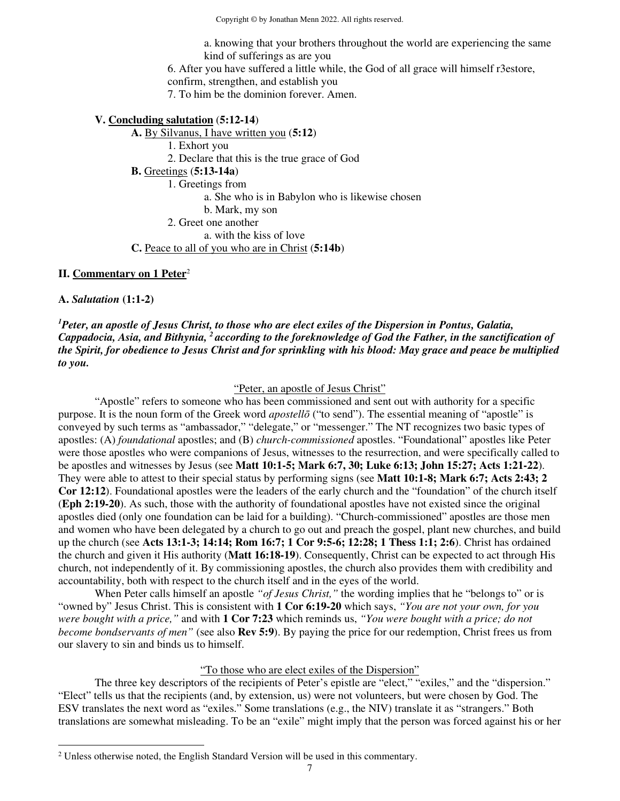Copyright © by Jonathan Menn 2022. All rights reserved.

a. knowing that your brothers throughout the world are experiencing the same kind of sufferings as are you

6. After you have suffered a little while, the God of all grace will himself r3estore,

confirm, strengthen, and establish you

7. To him be the dominion forever. Amen.

#### **V. Concluding salutation** (**5:12-14**)

**A.** By Silvanus, I have written you (**5:12**) 1. Exhort you 2. Declare that this is the true grace of God **B.** Greetings (**5:13-14a**) 1. Greetings from a. She who is in Babylon who is likewise chosen b. Mark, my son 2. Greet one another a. with the kiss of love

#### **C.** Peace to all of you who are in Christ (**5:14b**)

## **II. Commentary on 1 Peter**<sup>2</sup>

**A.** *Salutation* **(1:1-2)**

*<sup>1</sup>Peter, an apostle of Jesus Christ, to those who are elect exiles of the Dispersion in Pontus, Galatia, Cappadocia, Asia, and Bithynia, <sup>2</sup>according to the foreknowledge of God the Father, in the sanctification of the Spirit, for obedience to Jesus Christ and for sprinkling with his blood: May grace and peace be multiplied to you.* 

"Peter, an apostle of Jesus Christ"

 "Apostle" refers to someone who has been commissioned and sent out with authority for a specific purpose. It is the noun form of the Greek word *apostellō* ("to send"). The essential meaning of "apostle" is conveyed by such terms as "ambassador," "delegate," or "messenger." The NT recognizes two basic types of apostles: (A) *foundational* apostles; and (B) *church-commissioned* apostles. "Foundational" apostles like Peter were those apostles who were companions of Jesus, witnesses to the resurrection, and were specifically called to be apostles and witnesses by Jesus (see **Matt 10:1-5; Mark 6:7, 30; Luke 6:13; John 15:27; Acts 1:21-22**). They were able to attest to their special status by performing signs (see **Matt 10:1-8; Mark 6:7; Acts 2:43; 2 Cor 12:12**). Foundational apostles were the leaders of the early church and the "foundation" of the church itself (**Eph 2:19-20**). As such, those with the authority of foundational apostles have not existed since the original apostles died (only one foundation can be laid for a building). "Church-commissioned" apostles are those men and women who have been delegated by a church to go out and preach the gospel, plant new churches, and build up the church (see **Acts 13:1-3; 14:14; Rom 16:7; 1 Cor 9:5-6; 12:28; 1 Thess 1:1; 2:6**). Christ has ordained the church and given it His authority (**Matt 16:18-19**). Consequently, Christ can be expected to act through His church, not independently of it. By commissioning apostles, the church also provides them with credibility and accountability, both with respect to the church itself and in the eyes of the world.

 When Peter calls himself an apostle *"of Jesus Christ,"* the wording implies that he "belongs to" or is "owned by" Jesus Christ. This is consistent with **1 Cor 6:19-20** which says, *"You are not your own, for you were bought with a price,"* and with **1 Cor 7:23** which reminds us, *"You were bought with a price; do not become bondservants of men"* (see also **Rev 5:9**). By paying the price for our redemption, Christ frees us from our slavery to sin and binds us to himself.

## "To those who are elect exiles of the Dispersion"

 The three key descriptors of the recipients of Peter's epistle are "elect," "exiles," and the "dispersion." "Elect" tells us that the recipients (and, by extension, us) were not volunteers, but were chosen by God. The ESV translates the next word as "exiles." Some translations (e.g., the NIV) translate it as "strangers." Both translations are somewhat misleading. To be an "exile" might imply that the person was forced against his or her

 $2$  Unless otherwise noted, the English Standard Version will be used in this commentary.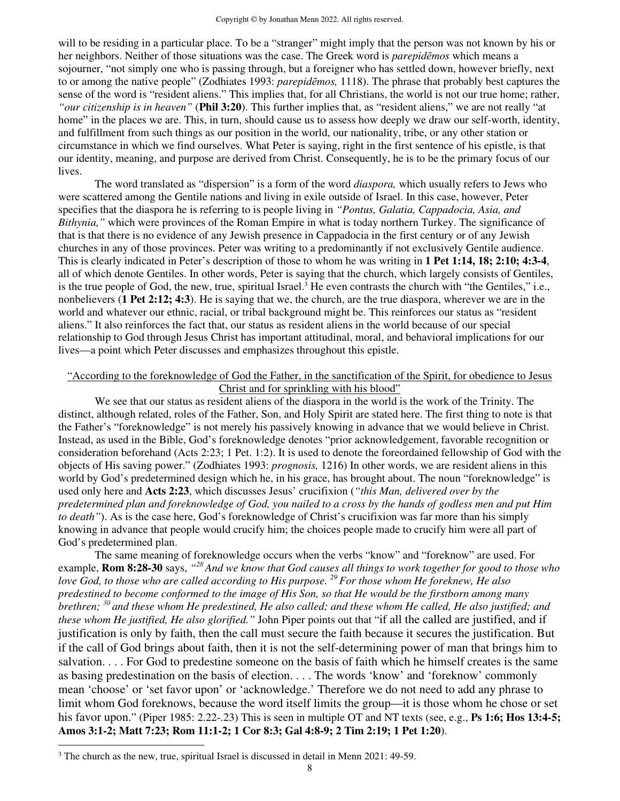will to be residing in a particular place. To be a "stranger" might imply that the person was not known by his or her neighbors. Neither of those situations was the case. The Greek word is *parepidēmos* which means a sojourner, "not simply one who is passing through, but a foreigner who has settled down, however briefly, next to or among the native people" (Zodhiates 1993: *parepidēmos,* 1118). The phrase that probably best captures the sense of the word is "resident aliens." This implies that, for all Christians, the world is not our true home; rather, *"our citizenship is in heaven"* (**Phil 3:20**). This further implies that, as "resident aliens," we are not really "at home" in the places we are. This, in turn, should cause us to assess how deeply we draw our self-worth, identity, and fulfillment from such things as our position in the world, our nationality, tribe, or any other station or circumstance in which we find ourselves. What Peter is saying, right in the first sentence of his epistle, is that our identity, meaning, and purpose are derived from Christ. Consequently, he is to be the primary focus of our lives.

 The word translated as "dispersion" is a form of the word *diaspora,* which usually refers to Jews who were scattered among the Gentile nations and living in exile outside of Israel. In this case, however, Peter specifies that the diaspora he is referring to is people living in *"Pontus, Galatia, Cappadocia, Asia, and Bithynia,"* which were provinces of the Roman Empire in what is today northern Turkey. The significance of that is that there is no evidence of any Jewish presence in Cappadocia in the first century or of any Jewish churches in any of those provinces. Peter was writing to a predominantly if not exclusively Gentile audience. This is clearly indicated in Peter's description of those to whom he was writing in **1 Pet 1:14, 18; 2:10; 4:3-4**, all of which denote Gentiles. In other words, Peter is saying that the church, which largely consists of Gentiles, is the true people of God, the new, true, spiritual Israel.<sup>3</sup> He even contrasts the church with "the Gentiles," i.e., nonbelievers (**1 Pet 2:12; 4:3**). He is saying that we, the church, are the true diaspora, wherever we are in the world and whatever our ethnic, racial, or tribal background might be. This reinforces our status as "resident aliens." It also reinforces the fact that, our status as resident aliens in the world because of our special relationship to God through Jesus Christ has important attitudinal, moral, and behavioral implications for our lives—a point which Peter discusses and emphasizes throughout this epistle.

## "According to the foreknowledge of God the Father, in the sanctification of the Spirit, for obedience to Jesus Christ and for sprinkling with his blood"

 We see that our status as resident aliens of the diaspora in the world is the work of the Trinity. The distinct, although related, roles of the Father, Son, and Holy Spirit are stated here. The first thing to note is that the Father's "foreknowledge" is not merely his passively knowing in advance that we would believe in Christ. Instead, as used in the Bible, God's foreknowledge denotes "prior acknowledgement, favorable recognition or consideration beforehand (Acts 2:23; 1 Pet. 1:2). It is used to denote the foreordained fellowship of God with the objects of His saving power." (Zodhiates 1993: *prognosis,* 1216) In other words, we are resident aliens in this world by God's predetermined design which he, in his grace, has brought about. The noun "foreknowledge" is used only here and **Acts 2:23**, which discusses Jesus' crucifixion (*"this Man, delivered over by the predetermined plan and foreknowledge of God, you nailed to a cross by the hands of godless men and put Him to death"*). As is the case here, God's foreknowledge of Christ's crucifixion was far more than his simply knowing in advance that people would crucify him; the choices people made to crucify him were all part of God's predetermined plan.

The same meaning of foreknowledge occurs when the verbs "know" and "foreknow" are used. For example, **Rom 8:28-30** says, "<sup>28</sup> And we know that God causes all things to work together for good to those who *love God, to those who are called according to His purpose. <sup>29</sup>For those whom He foreknew, He also predestined to become conformed to the image of His Son, so that He would be the firstborn among many brethren; <sup>30</sup>and these whom He predestined, He also called; and these whom He called, He also justified; and these whom He justified, He also glorified."* John Piper points out that "if all the called are justified, and if justification is only by faith, then the call must secure the faith because it secures the justification. But if the call of God brings about faith, then it is not the self-determining power of man that brings him to salvation. . . . For God to predestine someone on the basis of faith which he himself creates is the same as basing predestination on the basis of election. . . . The words 'know' and 'foreknow' commonly mean 'choose' or 'set favor upon' or 'acknowledge.' Therefore we do not need to add any phrase to limit whom God foreknows, because the word itself limits the group—it is those whom he chose or set his favor upon." (Piper 1985: 2.22-.23) This is seen in multiple OT and NT texts (see, e.g., **Ps 1:6; Hos 13:4-5; Amos 3:1-2; Matt 7:23; Rom 11:1-2; 1 Cor 8:3; Gal 4:8-9; 2 Tim 2:19; 1 Pet 1:20**).

 $3$  The church as the new, true, spiritual Israel is discussed in detail in Menn 2021: 49-59.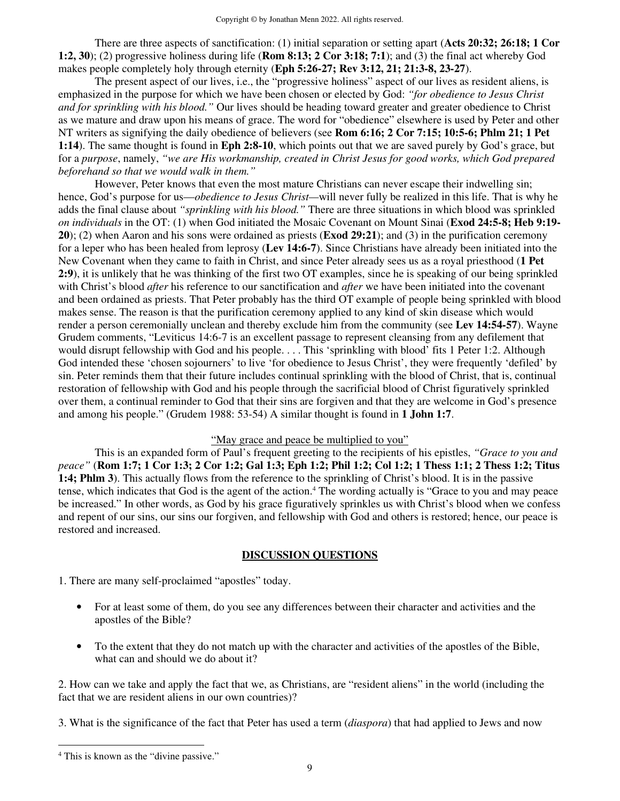There are three aspects of sanctification: (1) initial separation or setting apart (**Acts 20:32; 26:18; 1 Cor 1:2, 30**); (2) progressive holiness during life (**Rom 8:13; 2 Cor 3:18; 7:1**); and (3) the final act whereby God makes people completely holy through eternity (**Eph 5:26-27; Rev 3:12, 21; 21:3-8, 23-27**).

 The present aspect of our lives, i.e., the "progressive holiness" aspect of our lives as resident aliens, is emphasized in the purpose for which we have been chosen or elected by God: *"for obedience to Jesus Christ and for sprinkling with his blood."* Our lives should be heading toward greater and greater obedience to Christ as we mature and draw upon his means of grace. The word for "obedience" elsewhere is used by Peter and other NT writers as signifying the daily obedience of believers (see **Rom 6:16; 2 Cor 7:15; 10:5-6; Phlm 21; 1 Pet 1:14**). The same thought is found in **Eph 2:8-10**, which points out that we are saved purely by God's grace, but for a *purpose*, namely, *"we are His workmanship, created in Christ Jesus for good works, which God prepared beforehand so that we would walk in them."* 

However, Peter knows that even the most mature Christians can never escape their indwelling sin; hence, God's purpose for us—*obedience to Jesus Christ—*will never fully be realized in this life. That is why he adds the final clause about *"sprinkling with his blood."* There are three situations in which blood was sprinkled *on individuals* in the OT: (1) when God initiated the Mosaic Covenant on Mount Sinai (**Exod 24:5-8; Heb 9:19- 20**); (2) when Aaron and his sons were ordained as priests (**Exod 29:21**); and (3) in the purification ceremony for a leper who has been healed from leprosy (**Lev 14:6-7**). Since Christians have already been initiated into the New Covenant when they came to faith in Christ, and since Peter already sees us as a royal priesthood (**1 Pet 2:9**), it is unlikely that he was thinking of the first two OT examples, since he is speaking of our being sprinkled with Christ's blood *after* his reference to our sanctification and *after* we have been initiated into the covenant and been ordained as priests. That Peter probably has the third OT example of people being sprinkled with blood makes sense. The reason is that the purification ceremony applied to any kind of skin disease which would render a person ceremonially unclean and thereby exclude him from the community (see **Lev 14:54-57**). Wayne Grudem comments, "Leviticus 14:6-7 is an excellent passage to represent cleansing from any defilement that would disrupt fellowship with God and his people. . . . This 'sprinkling with blood' fits 1 Peter 1:2. Although God intended these 'chosen sojourners' to live 'for obedience to Jesus Christ', they were frequently 'defiled' by sin. Peter reminds them that their future includes continual sprinkling with the blood of Christ, that is, continual restoration of fellowship with God and his people through the sacrificial blood of Christ figuratively sprinkled over them, a continual reminder to God that their sins are forgiven and that they are welcome in God's presence and among his people." (Grudem 1988: 53-54) A similar thought is found in **1 John 1:7**.

## "May grace and peace be multiplied to you"

 This is an expanded form of Paul's frequent greeting to the recipients of his epistles, *"Grace to you and peace"* (**Rom 1:7; 1 Cor 1:3; 2 Cor 1:2; Gal 1:3; Eph 1:2; Phil 1:2; Col 1:2; 1 Thess 1:1; 2 Thess 1:2; Titus 1:4; Phlm 3**). This actually flows from the reference to the sprinkling of Christ's blood. It is in the passive tense, which indicates that God is the agent of the action.<sup>4</sup> The wording actually is "Grace to you and may peace be increased." In other words, as God by his grace figuratively sprinkles us with Christ's blood when we confess and repent of our sins, our sins our forgiven, and fellowship with God and others is restored; hence, our peace is restored and increased.

#### **DISCUSSION QUESTIONS**

1. There are many self-proclaimed "apostles" today.

- For at least some of them, do you see any differences between their character and activities and the apostles of the Bible?
- To the extent that they do not match up with the character and activities of the apostles of the Bible, what can and should we do about it?

2. How can we take and apply the fact that we, as Christians, are "resident aliens" in the world (including the fact that we are resident aliens in our own countries)?

3. What is the significance of the fact that Peter has used a term (*diaspora*) that had applied to Jews and now

<sup>&</sup>lt;sup>4</sup> This is known as the "divine passive."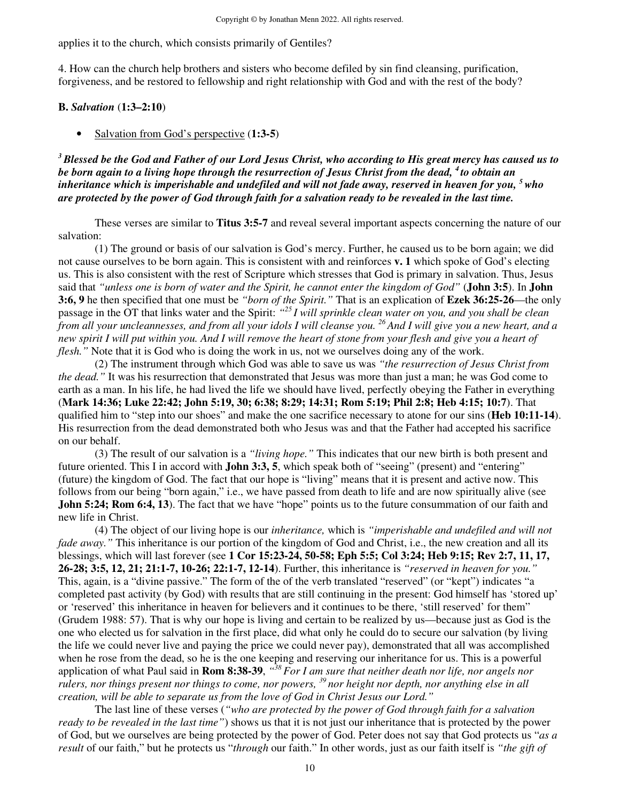applies it to the church, which consists primarily of Gentiles?

4. How can the church help brothers and sisters who become defiled by sin find cleansing, purification, forgiveness, and be restored to fellowship and right relationship with God and with the rest of the body?

#### **B.** *Salvation* (**1:3–2:10**)

• Salvation from God's perspective (**1:3-5**)

*<sup>3</sup>Blessed be the God and Father of our Lord Jesus Christ, who according to His great mercy has caused us to be born again to a living hope through the resurrection of Jesus Christ from the dead, <sup>4</sup>to obtain an inheritance which is imperishable and undefiled and will not fade away, reserved in heaven for you, <sup>5</sup>who are protected by the power of God through faith for a salvation ready to be revealed in the last time.*

 These verses are similar to **Titus 3:5-7** and reveal several important aspects concerning the nature of our salvation:

 (1) The ground or basis of our salvation is God's mercy. Further, he caused us to be born again; we did not cause ourselves to be born again. This is consistent with and reinforces **v. 1** which spoke of God's electing us. This is also consistent with the rest of Scripture which stresses that God is primary in salvation. Thus, Jesus said that *"unless one is born of water and the Spirit, he cannot enter the kingdom of God"* (**John 3:5**). In **John 3:6, 9** he then specified that one must be *"born of the Spirit."* That is an explication of **Ezek 36:25-26**—the only passage in the OT that links water and the Spirit: *" <sup>25</sup>I will sprinkle clean water on you, and you shall be clean from all your uncleannesses, and from all your idols I will cleanse you. <sup>26</sup>And I will give you a new heart, and a new spirit I will put within you. And I will remove the heart of stone from your flesh and give you a heart of flesh.*" Note that it is God who is doing the work in us, not we ourselves doing any of the work.

 (2) The instrument through which God was able to save us was *"the resurrection of Jesus Christ from the dead."* It was his resurrection that demonstrated that Jesus was more than just a man; he was God come to earth as a man. In his life, he had lived the life we should have lived, perfectly obeying the Father in everything (**Mark 14:36; Luke 22:42; John 5:19, 30; 6:38; 8:29; 14:31; Rom 5:19; Phil 2:8; Heb 4:15; 10:7**). That qualified him to "step into our shoes" and make the one sacrifice necessary to atone for our sins (**Heb 10:11-14**). His resurrection from the dead demonstrated both who Jesus was and that the Father had accepted his sacrifice on our behalf.

 (3) The result of our salvation is a *"living hope."* This indicates that our new birth is both present and future oriented. This I in accord with **John 3:3, 5**, which speak both of "seeing" (present) and "entering" (future) the kingdom of God. The fact that our hope is "living" means that it is present and active now. This follows from our being "born again," i.e., we have passed from death to life and are now spiritually alive (see **John 5:24; Rom 6:4, 13**). The fact that we have "hope" points us to the future consummation of our faith and new life in Christ.

 (4) The object of our living hope is our *inheritance,* which is *"imperishable and undefiled and will not fade away.*" This inheritance is our portion of the kingdom of God and Christ, i.e., the new creation and all its blessings, which will last forever (see **1 Cor 15:23-24, 50-58; Eph 5:5; Col 3:24; Heb 9:15; Rev 2:7, 11, 17, 26-28; 3:5, 12, 21; 21:1-7, 10-26; 22:1-7, 12-14**). Further, this inheritance is *"reserved in heaven for you."*  This, again, is a "divine passive." The form of the of the verb translated "reserved" (or "kept") indicates "a completed past activity (by God) with results that are still continuing in the present: God himself has 'stored up' or 'reserved' this inheritance in heaven for believers and it continues to be there, 'still reserved' for them" (Grudem 1988: 57). That is why our hope is living and certain to be realized by us—because just as God is the one who elected us for salvation in the first place, did what only he could do to secure our salvation (by living the life we could never live and paying the price we could never pay), demonstrated that all was accomplished when he rose from the dead, so he is the one keeping and reserving our inheritance for us. This is a powerful application of what Paul said in **Rom 8:38-39**, *" <sup>38</sup>For I am sure that neither death nor life, nor angels nor rulers, nor things present nor things to come, nor powers, <sup>39</sup>nor height nor depth, nor anything else in all creation, will be able to separate us from the love of God in Christ Jesus our Lord."* 

 The last line of these verses (*"who are protected by the power of God through faith for a salvation ready to be revealed in the last time"*) shows us that it is not just our inheritance that is protected by the power of God, but we ourselves are being protected by the power of God. Peter does not say that God protects us "*as a result* of our faith," but he protects us "*through* our faith." In other words, just as our faith itself is *"the gift of*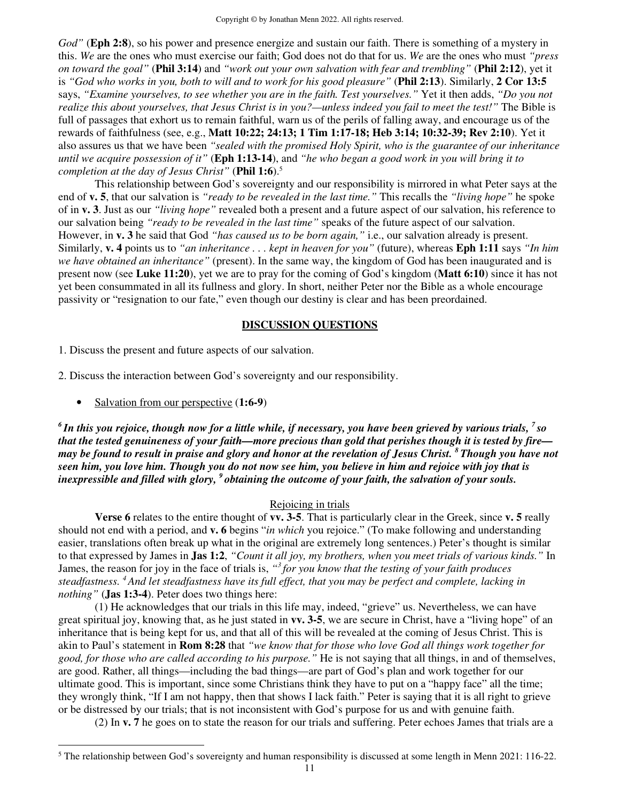*God"* (**Eph 2:8**), so his power and presence energize and sustain our faith. There is something of a mystery in this. *We* are the ones who must exercise our faith; God does not do that for us. *We* are the ones who must *"press on toward the goal"* (**Phil 3:14**) and *"work out your own salvation with fear and trembling"* (**Phil 2:12**), yet it is *"God who works in you, both to will and to work for his good pleasure"* (**Phil 2:13**). Similarly, **2 Cor 13:5**  says, *"Examine yourselves, to see whether you are in the faith. Test yourselves."* Yet it then adds, *"Do you not realize this about yourselves, that Jesus Christ is in you?—unless indeed you fail to meet the test!"* The Bible is full of passages that exhort us to remain faithful, warn us of the perils of falling away, and encourage us of the rewards of faithfulness (see, e.g., **Matt 10:22; 24:13; 1 Tim 1:17-18; Heb 3:14; 10:32-39; Rev 2:10**). Yet it also assures us that we have been *"sealed with the promised Holy Spirit, who is the guarantee of our inheritance until we acquire possession of it"* (**Eph 1:13-14**), and *"he who began a good work in you will bring it to completion at the day of Jesus Christ"* (**Phil 1:6**).<sup>5</sup>

 This relationship between God's sovereignty and our responsibility is mirrored in what Peter says at the end of **v. 5**, that our salvation is *"ready to be revealed in the last time."* This recalls the *"living hope"* he spoke of in **v. 3**. Just as our *"living hope"* revealed both a present and a future aspect of our salvation, his reference to our salvation being *"ready to be revealed in the last time"* speaks of the future aspect of our salvation. However, in **v. 3** he said that God *"has caused us to be born again,"* i.e., our salvation already is present. Similarly, **v. 4** points us to *"an inheritance . . . kept in heaven for you"* (future), whereas **Eph 1:11** says *"In him we have obtained an inheritance"* (present). In the same way, the kingdom of God has been inaugurated and is present now (see **Luke 11:20**), yet we are to pray for the coming of God's kingdom (**Matt 6:10**) since it has not yet been consummated in all its fullness and glory. In short, neither Peter nor the Bible as a whole encourage passivity or "resignation to our fate," even though our destiny is clear and has been preordained.

## **DISCUSSION QUESTIONS**

1. Discuss the present and future aspects of our salvation.

2. Discuss the interaction between God's sovereignty and our responsibility.

• Salvation from our perspective (**1:6-9**)

*<sup>6</sup>In this you rejoice, though now for a little while, if necessary, you have been grieved by various trials, <sup>7</sup>so that the tested genuineness of your faith—more precious than gold that perishes though it is tested by fire may be found to result in praise and glory and honor at the revelation of Jesus Christ. <sup>8</sup>Though you have not seen him, you love him. Though you do not now see him, you believe in him and rejoice with joy that is inexpressible and filled with glory, <sup>9</sup>obtaining the outcome of your faith, the salvation of your souls.* 

#### Rejoicing in trials

**Verse 6** relates to the entire thought of **vv. 3-5**. That is particularly clear in the Greek, since **v. 5** really should not end with a period, and **v. 6** begins "*in which* you rejoice." (To make following and understanding easier, translations often break up what in the original are extremely long sentences.) Peter's thought is similar to that expressed by James in **Jas 1:2**, *"Count it all joy, my brothers, when you meet trials of various kinds."* In James, the reason for joy in the face of trials is, *" <sup>3</sup>for you know that the testing of your faith produces steadfastness. <sup>4</sup>And let steadfastness have its full effect, that you may be perfect and complete, lacking in nothing"* (**Jas 1:3-4**). Peter does two things here:

(1) He acknowledges that our trials in this life may, indeed, "grieve" us. Nevertheless, we can have great spiritual joy, knowing that, as he just stated in **vv. 3-5**, we are secure in Christ, have a "living hope" of an inheritance that is being kept for us, and that all of this will be revealed at the coming of Jesus Christ. This is akin to Paul's statement in **Rom 8:28** that *"we know that for those who love God all things work together for good, for those who are called according to his purpose."* He is not saying that all things, in and of themselves, are good. Rather, all things—including the bad things—are part of God's plan and work together for our ultimate good. This is important, since some Christians think they have to put on a "happy face" all the time; they wrongly think, "If I am not happy, then that shows I lack faith." Peter is saying that it is all right to grieve or be distressed by our trials; that is not inconsistent with God's purpose for us and with genuine faith.

(2) In **v. 7** he goes on to state the reason for our trials and suffering. Peter echoes James that trials are a

<sup>&</sup>lt;sup>5</sup> The relationship between God's sovereignty and human responsibility is discussed at some length in Menn 2021: 116-22.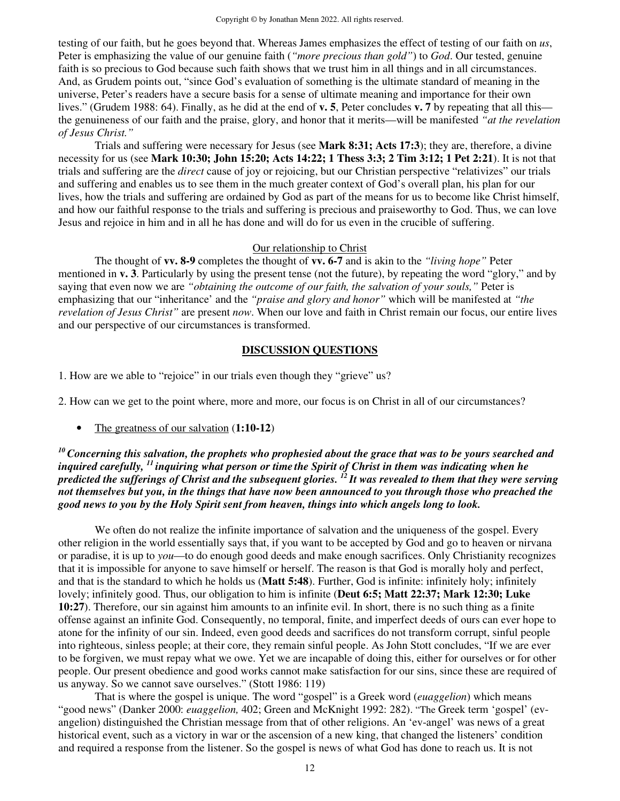testing of our faith, but he goes beyond that. Whereas James emphasizes the effect of testing of our faith on *us*, Peter is emphasizing the value of our genuine faith (*"more precious than gold"*) to *God*. Our tested, genuine faith is so precious to God because such faith shows that we trust him in all things and in all circumstances. And, as Grudem points out, "since God's evaluation of something is the ultimate standard of meaning in the universe, Peter's readers have a secure basis for a sense of ultimate meaning and importance for their own lives." (Grudem 1988: 64). Finally, as he did at the end of **v. 5**, Peter concludes **v. 7** by repeating that all this the genuineness of our faith and the praise, glory, and honor that it merits—will be manifested *"at the revelation of Jesus Christ."* 

 Trials and suffering were necessary for Jesus (see **Mark 8:31; Acts 17:3**); they are, therefore, a divine necessity for us (see **Mark 10:30; John 15:20; Acts 14:22; 1 Thess 3:3; 2 Tim 3:12; 1 Pet 2:21**). It is not that trials and suffering are the *direct* cause of joy or rejoicing, but our Christian perspective "relativizes" our trials and suffering and enables us to see them in the much greater context of God's overall plan, his plan for our lives, how the trials and suffering are ordained by God as part of the means for us to become like Christ himself, and how our faithful response to the trials and suffering is precious and praiseworthy to God. Thus, we can love Jesus and rejoice in him and in all he has done and will do for us even in the crucible of suffering.

#### Our relationship to Christ

 The thought of **vv. 8-9** completes the thought of **vv. 6-7** and is akin to the *"living hope"* Peter mentioned in **v. 3**. Particularly by using the present tense (not the future), by repeating the word "glory," and by saying that even now we are *"obtaining the outcome of our faith, the salvation of your souls,"* Peter is emphasizing that our "inheritance' and the *"praise and glory and honor"* which will be manifested at *"the revelation of Jesus Christ"* are present *now*. When our love and faith in Christ remain our focus, our entire lives and our perspective of our circumstances is transformed.

## **DISCUSSION QUESTIONS**

1. How are we able to "rejoice" in our trials even though they "grieve" us?

2. How can we get to the point where, more and more, our focus is on Christ in all of our circumstances?

• The greatness of our salvation (**1:10-12**)

*<sup>10</sup>Concerning this salvation, the prophets who prophesied about the grace that was to be yours searched and inquired carefully, <sup>11</sup>inquiring what person or time the Spirit of Christ in them was indicating when he predicted the sufferings of Christ and the subsequent glories. <sup>12</sup>It was revealed to them that they were serving not themselves but you, in the things that have now been announced to you through those who preached the good news to you by the Holy Spirit sent from heaven, things into which angels long to look.* 

We often do not realize the infinite importance of salvation and the uniqueness of the gospel. Every other religion in the world essentially says that, if you want to be accepted by God and go to heaven or nirvana or paradise, it is up to *you*—to do enough good deeds and make enough sacrifices. Only Christianity recognizes that it is impossible for anyone to save himself or herself. The reason is that God is morally holy and perfect, and that is the standard to which he holds us (**Matt 5:48**). Further, God is infinite: infinitely holy; infinitely lovely; infinitely good. Thus, our obligation to him is infinite (**Deut 6:5; Matt 22:37; Mark 12:30; Luke 10:27**). Therefore, our sin against him amounts to an infinite evil. In short, there is no such thing as a finite offense against an infinite God. Consequently, no temporal, finite, and imperfect deeds of ours can ever hope to atone for the infinity of our sin. Indeed, even good deeds and sacrifices do not transform corrupt, sinful people into righteous, sinless people; at their core, they remain sinful people. As John Stott concludes, "If we are ever to be forgiven, we must repay what we owe. Yet we are incapable of doing this, either for ourselves or for other people. Our present obedience and good works cannot make satisfaction for our sins, since these are required of us anyway. So we cannot save ourselves." (Stott 1986: 119)

That is where the gospel is unique. The word "gospel" is a Greek word (*euaggelion*) which means "good news" (Danker 2000: *euaggelion,* 402; Green and McKnight 1992: 282). "The Greek term 'gospel' (evangelion) distinguished the Christian message from that of other religions. An 'ev-angel' was news of a great historical event, such as a victory in war or the ascension of a new king, that changed the listeners' condition and required a response from the listener. So the gospel is news of what God has done to reach us. It is not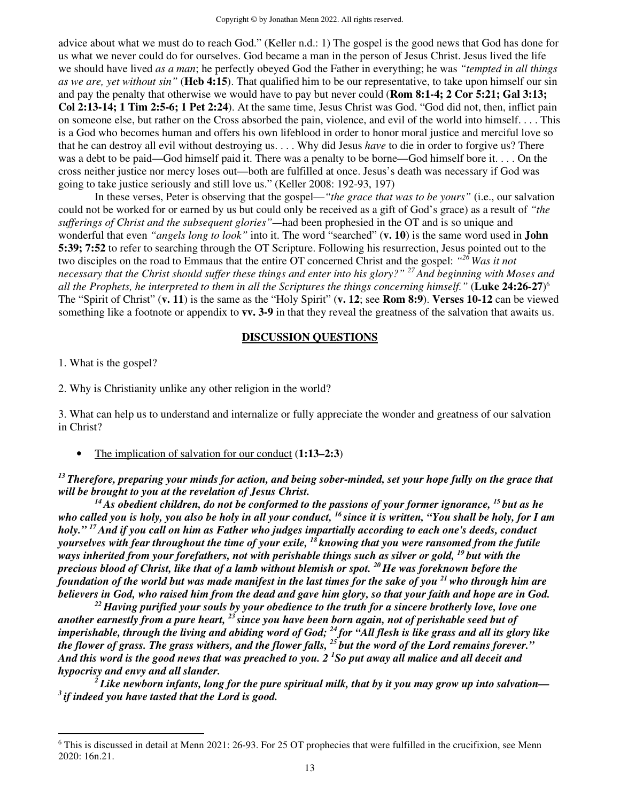advice about what we must do to reach God." (Keller n.d.: 1) The gospel is the good news that God has done for us what we never could do for ourselves. God became a man in the person of Jesus Christ. Jesus lived the life we should have lived *as a man*; he perfectly obeyed God the Father in everything; he was *"tempted in all things as we are, yet without sin"* (**Heb 4:15**). That qualified him to be our representative, to take upon himself our sin and pay the penalty that otherwise we would have to pay but never could (**Rom 8:1-4; 2 Cor 5:21; Gal 3:13; Col 2:13-14; 1 Tim 2:5-6; 1 Pet 2:24**). At the same time, Jesus Christ was God. "God did not, then, inflict pain on someone else, but rather on the Cross absorbed the pain, violence, and evil of the world into himself. . . . This is a God who becomes human and offers his own lifeblood in order to honor moral justice and merciful love so that he can destroy all evil without destroying us. . . . Why did Jesus *have* to die in order to forgive us? There was a debt to be paid—God himself paid it. There was a penalty to be borne—God himself bore it. . . . On the cross neither justice nor mercy loses out—both are fulfilled at once. Jesus's death was necessary if God was going to take justice seriously and still love us." (Keller 2008: 192-93, 197)

In these verses, Peter is observing that the gospel—*"the grace that was to be yours"* (i.e., our salvation could not be worked for or earned by us but could only be received as a gift of God's grace) as a result of *"the sufferings of Christ and the subsequent glories"—*had been prophesied in the OT and is so unique and wonderful that even *"angels long to look"* into it. The word "searched" (**v. 10**) is the same word used in **John 5:39; 7:52** to refer to searching through the OT Scripture. Following his resurrection, Jesus pointed out to the two disciples on the road to Emmaus that the entire OT concerned Christ and the gospel: *" <sup>26</sup>Was it not necessary that the Christ should suffer these things and enter into his glory?" <sup>27</sup>And beginning with Moses and all the Prophets, he interpreted to them in all the Scriptures the things concerning himself."* (**Luke 24:26-27**) 6 The "Spirit of Christ" (**v. 11**) is the same as the "Holy Spirit" (**v. 12**; see **Rom 8:9**). **Verses 10-12** can be viewed something like a footnote or appendix to **vv. 3-9** in that they reveal the greatness of the salvation that awaits us.

#### **DISCUSSION QUESTIONS**

1. What is the gospel?

2. Why is Christianity unlike any other religion in the world?

3. What can help us to understand and internalize or fully appreciate the wonder and greatness of our salvation in Christ?

• The implication of salvation for our conduct (**1:13–2:3**)

*<sup>13</sup>Therefore, preparing your minds for action, and being sober-minded, set your hope fully on the grace that will be brought to you at the revelation of Jesus Christ.* 

*<sup>14</sup>As obedient children, do not be conformed to the passions of your former ignorance, <sup>15</sup>but as he who called you is holy, you also be holy in all your conduct, <sup>16</sup>since it is written, "You shall be holy, for I am holy." <sup>17</sup>And if you call on him as Father who judges impartially according to each one's deeds, conduct yourselves with fear throughout the time of your exile, <sup>18</sup>knowing that you were ransomed from the futile ways inherited from your forefathers, not with perishable things such as silver or gold, <sup>19</sup>but with the precious blood of Christ, like that of a lamb without blemish or spot. <sup>20</sup>He was foreknown before the foundation of the world but was made manifest in the last times for the sake of you <sup>21</sup>who through him are believers in God, who raised him from the dead and gave him glory, so that your faith and hope are in God.* 

*<sup>22</sup>Having purified your souls by your obedience to the truth for a sincere brotherly love, love one another earnestly from a pure heart, <sup>23</sup>since you have been born again, not of perishable seed but of imperishable, through the living and abiding word of God; <sup>24</sup>for "All flesh is like grass and all its glory like the flower of grass. The grass withers, and the flower falls, <sup>25</sup>but the word of the Lord remains forever." And this word is the good news that was preached to you. 2 <sup>1</sup>So put away all malice and all deceit and hypocrisy and envy and all slander.* 

*<sup>2</sup>Like newborn infants, long for the pure spiritual milk, that by it you may grow up into salvation— <sup>3</sup>if indeed you have tasted that the Lord is good.* 

<sup>&</sup>lt;sup>6</sup> This is discussed in detail at Menn 2021: 26-93. For 25 OT prophecies that were fulfilled in the crucifixion, see Menn 2020: 16n.21.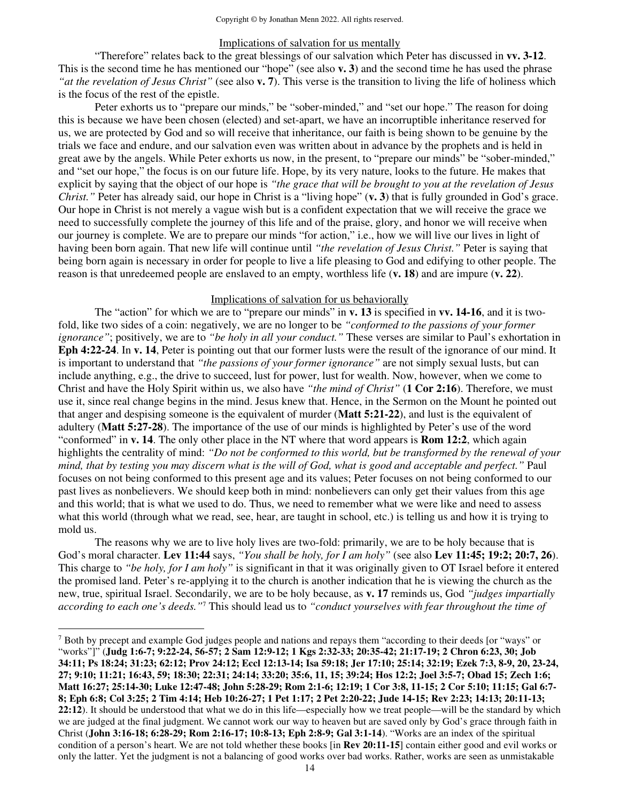### Implications of salvation for us mentally

 "Therefore" relates back to the great blessings of our salvation which Peter has discussed in **vv. 3-12**. This is the second time he has mentioned our "hope" (see also **v. 3**) and the second time he has used the phrase *"at the revelation of Jesus Christ"* (see also **v. 7**). This verse is the transition to living the life of holiness which is the focus of the rest of the epistle.

 Peter exhorts us to "prepare our minds," be "sober-minded," and "set our hope." The reason for doing this is because we have been chosen (elected) and set-apart, we have an incorruptible inheritance reserved for us, we are protected by God and so will receive that inheritance, our faith is being shown to be genuine by the trials we face and endure, and our salvation even was written about in advance by the prophets and is held in great awe by the angels. While Peter exhorts us now, in the present, to "prepare our minds" be "sober-minded," and "set our hope," the focus is on our future life. Hope, by its very nature, looks to the future. He makes that explicit by saying that the object of our hope is *"the grace that will be brought to you at the revelation of Jesus Christ."* Peter has already said, our hope in Christ is a "living hope" (**v. 3**) that is fully grounded in God's grace. Our hope in Christ is not merely a vague wish but is a confident expectation that we will receive the grace we need to successfully complete the journey of this life and of the praise, glory, and honor we will receive when our journey is complete. We are to prepare our minds "for action," i.e., how we will live our lives in light of having been born again. That new life will continue until *"the revelation of Jesus Christ."* Peter is saying that being born again is necessary in order for people to live a life pleasing to God and edifying to other people. The reason is that unredeemed people are enslaved to an empty, worthless life (**v. 18**) and are impure (**v. 22**).

#### Implications of salvation for us behaviorally

 The "action" for which we are to "prepare our minds" in **v. 13** is specified in **vv. 14-16**, and it is twofold, like two sides of a coin: negatively, we are no longer to be *"conformed to the passions of your former ignorance"*; positively, we are to *"be holy in all your conduct."* These verses are similar to Paul's exhortation in **Eph 4:22-24**. In **v. 14**, Peter is pointing out that our former lusts were the result of the ignorance of our mind. It is important to understand that *"the passions of your former ignorance"* are not simply sexual lusts, but can include anything, e.g., the drive to succeed, lust for power, lust for wealth. Now, however, when we come to Christ and have the Holy Spirit within us, we also have *"the mind of Christ"* (**1 Cor 2:16**). Therefore, we must use it, since real change begins in the mind. Jesus knew that. Hence, in the Sermon on the Mount he pointed out that anger and despising someone is the equivalent of murder (**Matt 5:21-22**), and lust is the equivalent of adultery (**Matt 5:27-28**). The importance of the use of our minds is highlighted by Peter's use of the word "conformed" in **v. 14**. The only other place in the NT where that word appears is **Rom 12:2**, which again highlights the centrality of mind: *"Do not be conformed to this world, but be transformed by the renewal of your mind, that by testing you may discern what is the will of God, what is good and acceptable and perfect."* Paul focuses on not being conformed to this present age and its values; Peter focuses on not being conformed to our past lives as nonbelievers. We should keep both in mind: nonbelievers can only get their values from this age and this world; that is what we used to do. Thus, we need to remember what we were like and need to assess what this world (through what we read, see, hear, are taught in school, etc.) is telling us and how it is trying to mold us.

The reasons why we are to live holy lives are two-fold: primarily, we are to be holy because that is God's moral character. **Lev 11:44** says, *"You shall be holy, for I am holy"* (see also **Lev 11:45; 19:2; 20:7, 26**). This charge to *"be holy, for I am holy"* is significant in that it was originally given to OT Israel before it entered the promised land. Peter's re-applying it to the church is another indication that he is viewing the church as the new, true, spiritual Israel. Secondarily, we are to be holy because, as **v. 17** reminds us, God *"judges impartially according to each one's deeds."*<sup>7</sup> This should lead us to *"conduct yourselves with fear throughout the time of* 

<sup>7</sup> Both by precept and example God judges people and nations and repays them "according to their deeds [or "ways" or "works"]" (**Judg 1:6-7; 9:22-24, 56-57; 2 Sam 12:9-12; 1 Kgs 2:32-33; 20:35-42; 21:17-19; 2 Chron 6:23, 30; Job 34:11; Ps 18:24; 31:23; 62:12; Prov 24:12; Eccl 12:13-14; Isa 59:18; Jer 17:10; 25:14; 32:19; Ezek 7:3, 8-9, 20, 23-24, 27; 9:10; 11:21; 16:43, 59; 18:30; 22:31; 24:14; 33:20; 35:6, 11, 15; 39:24; Hos 12:2; Joel 3:5-7; Obad 15; Zech 1:6; Matt 16:27; 25:14-30; Luke 12:47-48; John 5:28-29; Rom 2:1-6; 12:19; 1 Cor 3:8, 11-15; 2 Cor 5:10; 11:15; Gal 6:7- 8; Eph 6:8; Col 3:25; 2 Tim 4:14; Heb 10:26-27; 1 Pet 1:17; 2 Pet 2:20-22; Jude 14-15; Rev 2:23; 14:13; 20:11-13; 22:12**). It should be understood that what we do in this life—especially how we treat people—will be the standard by which we are judged at the final judgment. We cannot work our way to heaven but are saved only by God's grace through faith in Christ (**John 3:16-18; 6:28-29; Rom 2:16-17; 10:8-13; Eph 2:8-9; Gal 3:1-14**). "Works are an index of the spiritual condition of a person's heart. We are not told whether these books [in **Rev 20:11-15**] contain either good and evil works or only the latter. Yet the judgment is not a balancing of good works over bad works. Rather, works are seen as unmistakable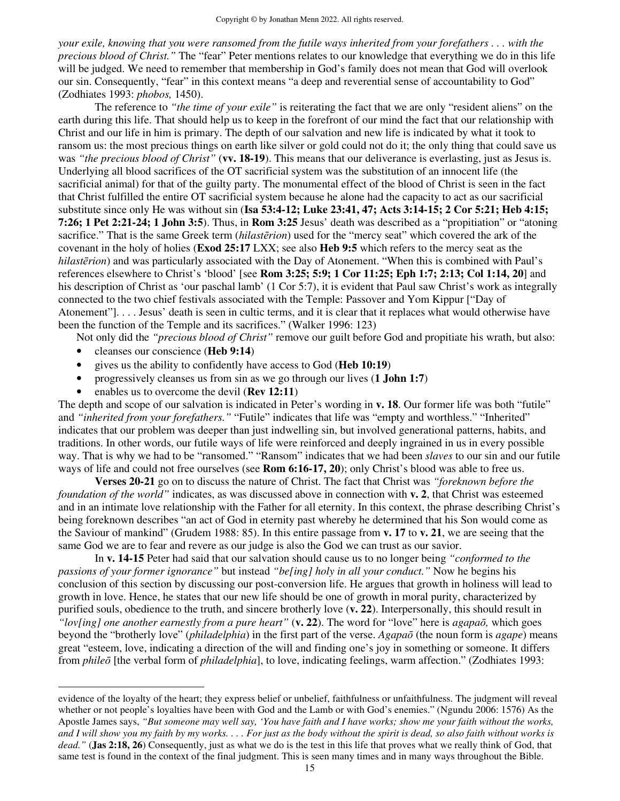*your exile, knowing that you were ransomed from the futile ways inherited from your forefathers . . . with the precious blood of Christ."* The "fear" Peter mentions relates to our knowledge that everything we do in this life will be judged. We need to remember that membership in God's family does not mean that God will overlook our sin. Consequently, "fear" in this context means "a deep and reverential sense of accountability to God" (Zodhiates 1993: *phobos,* 1450).

 The reference to *"the time of your exile"* is reiterating the fact that we are only "resident aliens" on the earth during this life. That should help us to keep in the forefront of our mind the fact that our relationship with Christ and our life in him is primary. The depth of our salvation and new life is indicated by what it took to ransom us: the most precious things on earth like silver or gold could not do it; the only thing that could save us was *"the precious blood of Christ"* (**vv. 18-19**). This means that our deliverance is everlasting, just as Jesus is. Underlying all blood sacrifices of the OT sacrificial system was the substitution of an innocent life (the sacrificial animal) for that of the guilty party. The monumental effect of the blood of Christ is seen in the fact that Christ fulfilled the entire OT sacrificial system because he alone had the capacity to act as our sacrificial substitute since only He was without sin (**Isa 53:4-12; Luke 23:41, 47; Acts 3:14-15; 2 Cor 5:21; Heb 4:15; 7:26; 1 Pet 2:21-24; 1 John 3:5**). Thus, in **Rom 3:25** Jesus' death was described as a "propitiation" or "atoning sacrifice." That is the same Greek term (*hilastērion*) used for the "mercy seat" which covered the ark of the covenant in the holy of holies (**Exod 25:17** LXX; see also **Heb 9:5** which refers to the mercy seat as the *hilastērion*) and was particularly associated with the Day of Atonement. "When this is combined with Paul's references elsewhere to Christ's 'blood' [see **Rom 3:25; 5:9; 1 Cor 11:25; Eph 1:7; 2:13; Col 1:14, 20**] and his description of Christ as 'our paschal lamb' (1 Cor 5:7), it is evident that Paul saw Christ's work as integrally connected to the two chief festivals associated with the Temple: Passover and Yom Kippur ["Day of Atonement"]. . . . Jesus' death is seen in cultic terms, and it is clear that it replaces what would otherwise have been the function of the Temple and its sacrifices." (Walker 1996: 123)

Not only did the *"precious blood of Christ"* remove our guilt before God and propitiate his wrath, but also:

- cleanses our conscience (**Heb 9:14**)
- gives us the ability to confidently have access to God (**Heb 10:19**)
- progressively cleanses us from sin as we go through our lives (**1 John 1:7**)
- enables us to overcome the devil (**Rev 12:11**)

The depth and scope of our salvation is indicated in Peter's wording in **v. 18**. Our former life was both "futile" and *"inherited from your forefathers."* "Futile" indicates that life was "empty and worthless." "Inherited" indicates that our problem was deeper than just indwelling sin, but involved generational patterns, habits, and traditions. In other words, our futile ways of life were reinforced and deeply ingrained in us in every possible way. That is why we had to be "ransomed." "Ransom" indicates that we had been *slaves* to our sin and our futile ways of life and could not free ourselves (see **Rom 6:16-17, 20**); only Christ's blood was able to free us.

**Verses 20-21** go on to discuss the nature of Christ. The fact that Christ was *"foreknown before the foundation of the world"* indicates, as was discussed above in connection with **v. 2**, that Christ was esteemed and in an intimate love relationship with the Father for all eternity. In this context, the phrase describing Christ's being foreknown describes "an act of God in eternity past whereby he determined that his Son would come as the Saviour of mankind" (Grudem 1988: 85). In this entire passage from **v. 17** to **v. 21**, we are seeing that the same God we are to fear and revere as our judge is also the God we can trust as our savior.

 In **v. 14-15** Peter had said that our salvation should cause us to no longer being *"conformed to the passions of your former ignorance"* but instead *"be[ing] holy in all your conduct."* Now he begins his conclusion of this section by discussing our post-conversion life. He argues that growth in holiness will lead to growth in love. Hence, he states that our new life should be one of growth in moral purity, characterized by purified souls, obedience to the truth, and sincere brotherly love (**v. 22**). Interpersonally, this should result in *"lov[ing] one another earnestly from a pure heart"* (**v. 22**). The word for "love" here is *agapaō,* which goes beyond the "brotherly love" (*philadelphia*) in the first part of the verse. *Agapaō* (the noun form is *agape*) means great "esteem, love, indicating a direction of the will and finding one's joy in something or someone. It differs from *phileō* [the verbal form of *philadelphia*], to love, indicating feelings, warm affection." (Zodhiates 1993:

evidence of the loyalty of the heart; they express belief or unbelief, faithfulness or unfaithfulness. The judgment will reveal whether or not people's loyalties have been with God and the Lamb or with God's enemies." (Ngundu 2006: 1576) As the Apostle James says, *"But someone may well say, 'You have faith and I have works; show me your faith without the works, and I will show you my faith by my works. . . . For just as the body without the spirit is dead, so also faith without works is dead."* (**Jas 2:18, 26**) Consequently, just as what we do is the test in this life that proves what we really think of God, that same test is found in the context of the final judgment. This is seen many times and in many ways throughout the Bible.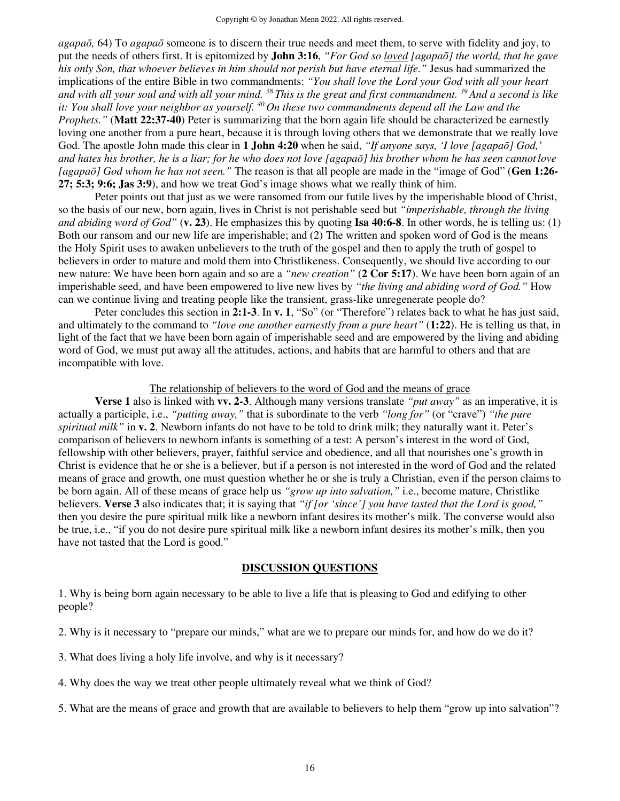*agapaō,* 64) To *agapaō* someone is to discern their true needs and meet them, to serve with fidelity and joy, to put the needs of others first. It is epitomized by **John 3:16**, *"For God so loved [agapaō] the world, that he gave his only Son, that whoever believes in him should not perish but have eternal life."* Jesus had summarized the implications of the entire Bible in two commandments: *"You shall love the Lord your God with all your heart and with all your soul and with all your mind. <sup>38</sup>This is the great and first commandment. <sup>39</sup>And a second is like it: You shall love your neighbor as yourself.* <sup>40</sup>*On these two commandments depend all the Law and the it: You shall love your neighbor as yourself.* <sup>40</sup>*On these two commandments depend all the Law and the Prophets."* (**Matt 22:37-40**) Peter is summarizing that the born again life should be characterized be earnestly loving one another from a pure heart, because it is through loving others that we demonstrate that we really love God. The apostle John made this clear in **1 John 4:20** when he said, *"If anyone says, 'I love [agapaō] God,' and hates his brother, he is a liar; for he who does not love [agapaō] his brother whom he has seen cannot love [agapaō] God whom he has not seen."* The reason is that all people are made in the "image of God" (**Gen 1:26- 27; 5:3; 9:6; Jas 3:9**), and how we treat God's image shows what we really think of him.

 Peter points out that just as we were ransomed from our futile lives by the imperishable blood of Christ, so the basis of our new, born again, lives in Christ is not perishable seed but *"imperishable, through the living and abiding word of God"* (**v. 23**). He emphasizes this by quoting **Isa 40:6-8**. In other words, he is telling us: (1) Both our ransom and our new life are imperishable; and (2) The written and spoken word of God is the means the Holy Spirit uses to awaken unbelievers to the truth of the gospel and then to apply the truth of gospel to believers in order to mature and mold them into Christlikeness. Consequently, we should live according to our new nature: We have been born again and so are a *"new creation"* (**2 Cor 5:17**). We have been born again of an imperishable seed, and have been empowered to live new lives by *"the living and abiding word of God."* How can we continue living and treating people like the transient, grass-like unregenerate people do?

 Peter concludes this section in **2:1-3**. In **v. 1**, "So" (or "Therefore") relates back to what he has just said, and ultimately to the command to *"love one another earnestly from a pure heart"* (**1:22**). He is telling us that, in light of the fact that we have been born again of imperishable seed and are empowered by the living and abiding word of God, we must put away all the attitudes, actions, and habits that are harmful to others and that are incompatible with love.

#### The relationship of believers to the word of God and the means of grace

**Verse 1** also is linked with **vv. 2-3**. Although many versions translate *"put away"* as an imperative, it is actually a participle, i.e., *"putting away,"* that is subordinate to the verb *"long for"* (or "crave") *"the pure spiritual milk"* in **v. 2**. Newborn infants do not have to be told to drink milk; they naturally want it. Peter's comparison of believers to newborn infants is something of a test: A person's interest in the word of God, fellowship with other believers, prayer, faithful service and obedience, and all that nourishes one's growth in Christ is evidence that he or she is a believer, but if a person is not interested in the word of God and the related means of grace and growth, one must question whether he or she is truly a Christian, even if the person claims to be born again. All of these means of grace help us *"grow up into salvation,"* i.e., become mature, Christlike believers. **Verse 3** also indicates that; it is saying that *"if [or 'since'] you have tasted that the Lord is good,"*  then you desire the pure spiritual milk like a newborn infant desires its mother's milk. The converse would also be true, i.e., "if you do not desire pure spiritual milk like a newborn infant desires its mother's milk, then you have not tasted that the Lord is good."

#### **DISCUSSION QUESTIONS**

1. Why is being born again necessary to be able to live a life that is pleasing to God and edifying to other people?

- 2. Why is it necessary to "prepare our minds," what are we to prepare our minds for, and how do we do it?
- 3. What does living a holy life involve, and why is it necessary?
- 4. Why does the way we treat other people ultimately reveal what we think of God?
- 5. What are the means of grace and growth that are available to believers to help them "grow up into salvation"?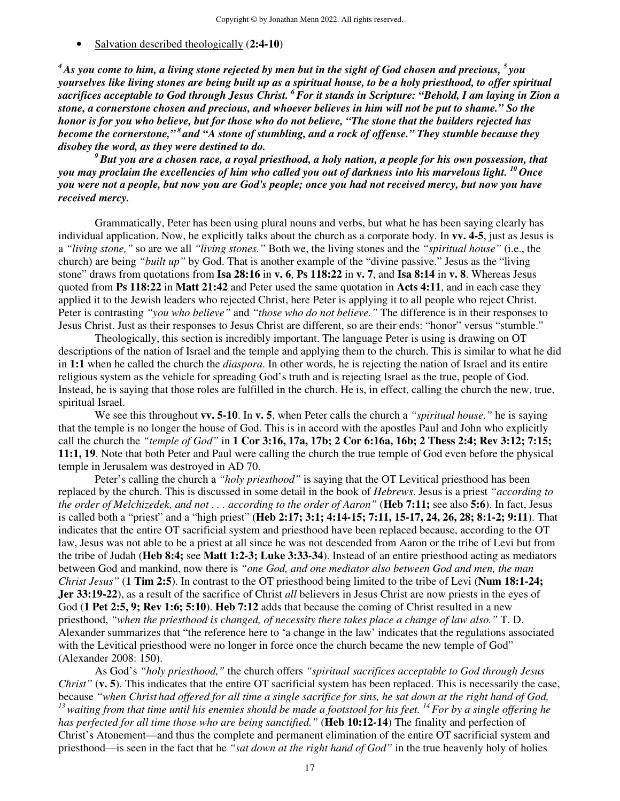• Salvation described theologically (**2:4-10**)

*<sup>4</sup>As you come to him, a living stone rejected by men but in the sight of God chosen and precious, <sup>5</sup>you yourselves like living stones are being built up as a spiritual house, to be a holy priesthood, to offer spiritual sacrifices acceptable to God through Jesus Christ. <sup>6</sup>For it stands in Scripture: "Behold, I am laying in Zion a stone, a cornerstone chosen and precious, and whoever believes in him will not be put to shame." So the honor is for you who believe, but for those who do not believe, "The stone that the builders rejected has become the cornerstone,"<sup>8</sup>and "A stone of stumbling, and a rock of offense." They stumble because they disobey the word, as they were destined to do.* 

*<sup>9</sup>But you are a chosen race, a royal priesthood, a holy nation, a people for his own possession, that you may proclaim the excellencies of him who called you out of darkness into his marvelous light. <sup>10</sup>Once you were not a people, but now you are God's people; once you had not received mercy, but now you have received mercy.* 

Grammatically, Peter has been using plural nouns and verbs, but what he has been saying clearly has individual application. Now, he explicitly talks about the church as a corporate body. In **vv. 4-5**, just as Jesus is a *"living stone,"* so are we all *"living stones."* Both we, the living stones and the *"spiritual house"* (i.e., the church) are being *"built up"* by God. That is another example of the "divine passive." Jesus as the "living stone" draws from quotations from **Isa 28:16** in **v. 6**, **Ps 118:22** in **v. 7**, and **Isa 8:14** in **v. 8**. Whereas Jesus quoted from **Ps 118:22** in **Matt 21:42** and Peter used the same quotation in **Acts 4:11**, and in each case they applied it to the Jewish leaders who rejected Christ, here Peter is applying it to all people who reject Christ. Peter is contrasting *"you who believe"* and *"those who do not believe."* The difference is in their responses to Jesus Christ. Just as their responses to Jesus Christ are different, so are their ends: "honor" versus "stumble."

Theologically, this section is incredibly important. The language Peter is using is drawing on OT descriptions of the nation of Israel and the temple and applying them to the church. This is similar to what he did in **1:1** when he called the church the *diaspora*. In other words, he is rejecting the nation of Israel and its entire religious system as the vehicle for spreading God's truth and is rejecting Israel as the true, people of God. Instead, he is saying that those roles are fulfilled in the church. He is, in effect, calling the church the new, true, spiritual Israel.

We see this throughout **vv. 5-10**. In **v. 5**, when Peter calls the church a *"spiritual house,"* he is saying that the temple is no longer the house of God. This is in accord with the apostles Paul and John who explicitly call the church the *"temple of God"* in **1 Cor 3:16, 17a, 17b; 2 Cor 6:16a, 16b; 2 Thess 2:4; Rev 3:12; 7:15; 11:1, 19**. Note that both Peter and Paul were calling the church the true temple of God even before the physical temple in Jerusalem was destroyed in AD 70.

Peter's calling the church a *"holy priesthood"* is saying that the OT Levitical priesthood has been replaced by the church. This is discussed in some detail in the book of *Hebrews*. Jesus is a priest *"according to the order of Melchizedek, and not . . . according to the order of Aaron"* (**Heb 7:11;** see also **5:6**). In fact, Jesus is called both a "priest" and a "high priest" (**Heb 2:17; 3:1; 4:14-15; 7:11, 15-17, 24, 26, 28; 8:1-2; 9:11**). That indicates that the entire OT sacrificial system and priesthood have been replaced because, according to the OT law, Jesus was not able to be a priest at all since he was not descended from Aaron or the tribe of Levi but from the tribe of Judah (**Heb 8:4;** see **Matt 1:2-3; Luke 3:33-34**). Instead of an entire priesthood acting as mediators between God and mankind, now there is *"one God, and one mediator also between God and men, the man Christ Jesus"* (**1 Tim 2:5**). In contrast to the OT priesthood being limited to the tribe of Levi (**Num 18:1-24; Jer 33:19-22**), as a result of the sacrifice of Christ *all* believers in Jesus Christ are now priests in the eyes of God (**1 Pet 2:5, 9; Rev 1:6; 5:10**). **Heb 7:12** adds that because the coming of Christ resulted in a new priesthood, *"when the priesthood is changed, of necessity there takes place a change of law also."* T. D. Alexander summarizes that "the reference here to 'a change in the law' indicates that the regulations associated with the Levitical priesthood were no longer in force once the church became the new temple of God" (Alexander 2008: 150).

As God's *"holy priesthood,"* the church offers *"spiritual sacrifices acceptable to God through Jesus Christ"* (**v. 5**). This indicates that the entire OT sacrificial system has been replaced. This is necessarily the case, because *"when Christ had offered for all time a single sacrifice for sins, he sat down at the right hand of God, <sup>13</sup>waiting from that time until his enemies should be made a footstool for his feet. <sup>14</sup>For by a single offering he has perfected for all time those who are being sanctified."* (**Heb 10:12-14**) The finality and perfection of Christ's Atonement—and thus the complete and permanent elimination of the entire OT sacrificial system and priesthood—is seen in the fact that he *"sat down at the right hand of God"* in the true heavenly holy of holies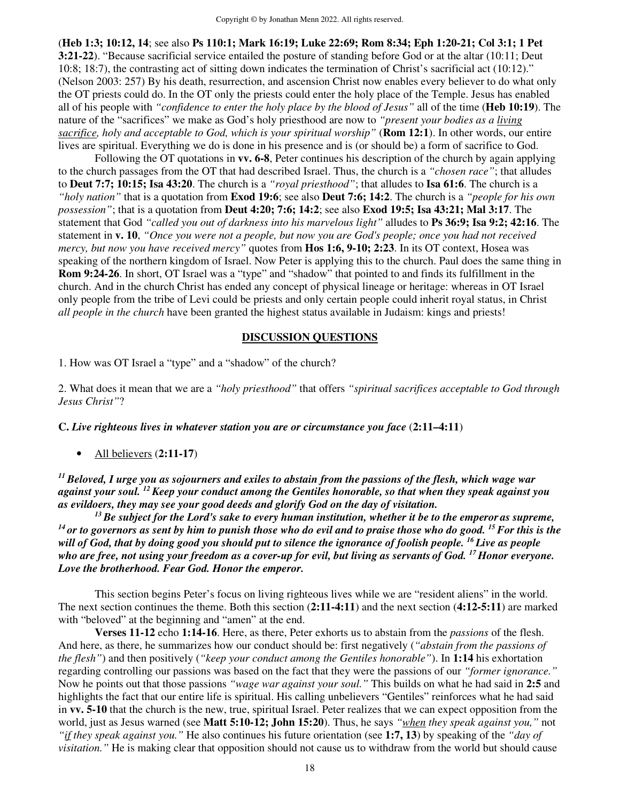(**Heb 1:3; 10:12, 14**; see also **Ps 110:1; Mark 16:19; Luke 22:69; Rom 8:34; Eph 1:20-21; Col 3:1; 1 Pet 3:21-22**). "Because sacrificial service entailed the posture of standing before God or at the altar (10:11; Deut 10:8; 18:7), the contrasting act of sitting down indicates the termination of Christ's sacrificial act (10:12)." (Nelson 2003: 257) By his death, resurrection, and ascension Christ now enables every believer to do what only the OT priests could do. In the OT only the priests could enter the holy place of the Temple. Jesus has enabled all of his people with *"confidence to enter the holy place by the blood of Jesus"* all of the time (**Heb 10:19**). The nature of the "sacrifices" we make as God's holy priesthood are now to *"present your bodies as a living sacrifice, holy and acceptable to God, which is your spiritual worship"* (**Rom 12:1**). In other words, our entire lives are spiritual. Everything we do is done in his presence and is (or should be) a form of sacrifice to God.

Following the OT quotations in **vv. 6-8**, Peter continues his description of the church by again applying to the church passages from the OT that had described Israel. Thus, the church is a *"chosen race"*; that alludes to **Deut 7:7; 10:15; Isa 43:20**. The church is a *"royal priesthood"*; that alludes to **Isa 61:6**. The church is a *"holy nation"* that is a quotation from **Exod 19:6**; see also **Deut 7:6; 14:2**. The church is a *"people for his own possession"*; that is a quotation from **Deut 4:20; 7:6; 14:2**; see also **Exod 19:5; Isa 43:21; Mal 3:17**. The statement that God *"called you out of darkness into his marvelous light"* alludes to **Ps 36:9; Isa 9:2; 42:16**. The statement in **v. 10**, *"Once you were not a people, but now you are God's people; once you had not received mercy, but now you have received mercy"* quotes from **Hos 1:6, 9-10; 2:23**. In its OT context, Hosea was speaking of the northern kingdom of Israel. Now Peter is applying this to the church. Paul does the same thing in **Rom 9:24-26**. In short, OT Israel was a "type" and "shadow" that pointed to and finds its fulfillment in the church. And in the church Christ has ended any concept of physical lineage or heritage: whereas in OT Israel only people from the tribe of Levi could be priests and only certain people could inherit royal status, in Christ *all people in the church* have been granted the highest status available in Judaism: kings and priests!

## **DISCUSSION QUESTIONS**

1. How was OT Israel a "type" and a "shadow" of the church?

2. What does it mean that we are a *"holy priesthood"* that offers *"spiritual sacrifices acceptable to God through Jesus Christ"*?

**C.** *Live righteous lives in whatever station you are or circumstance you face* (**2:11–4:11**)

• All believers (**2:11-17**)

*<sup>11</sup>Beloved, I urge you as sojourners and exiles to abstain from the passions of the flesh, which wage war against your soul. <sup>12</sup>Keep your conduct among the Gentiles honorable, so that when they speak against you as evildoers, they may see your good deeds and glorify God on the day of visitation.* 

*<sup>13</sup>Be subject for the Lord's sake to every human institution, whether it be to the emperor as supreme, <sup>14</sup>or to governors as sent by him to punish those who do evil and to praise those who do good. <sup>15</sup>For this is the will of God, that by doing good you should put to silence the ignorance of foolish people. <sup>16</sup>Live as people who are free, not using your freedom as a cover-up for evil, but living as servants of God. <sup>17</sup>Honor everyone. Love the brotherhood. Fear God. Honor the emperor.* 

 This section begins Peter's focus on living righteous lives while we are "resident aliens" in the world. The next section continues the theme. Both this section (**2:11-4:11**) and the next section (**4:12-5:11**) are marked with "beloved" at the beginning and "amen" at the end.

**Verses 11-12** echo **1:14-16**. Here, as there, Peter exhorts us to abstain from the *passions* of the flesh. And here, as there, he summarizes how our conduct should be: first negatively (*"abstain from the passions of the flesh"*) and then positively (*"keep your conduct among the Gentiles honorable"*). In **1:14** his exhortation regarding controlling our passions was based on the fact that they were the passions of our *"former ignorance."*  Now he points out that those passions *"wage war against your soul."* This builds on what he had said in **2:5** and highlights the fact that our entire life is spiritual. His calling unbelievers "Gentiles" reinforces what he had said in **vv. 5-10** that the church is the new, true, spiritual Israel. Peter realizes that we can expect opposition from the world, just as Jesus warned (see **Matt 5:10-12; John 15:20**). Thus, he says *"when they speak against you,"* not *"if they speak against you."* He also continues his future orientation (see **1:7, 13**) by speaking of the *"day of visitation."* He is making clear that opposition should not cause us to withdraw from the world but should cause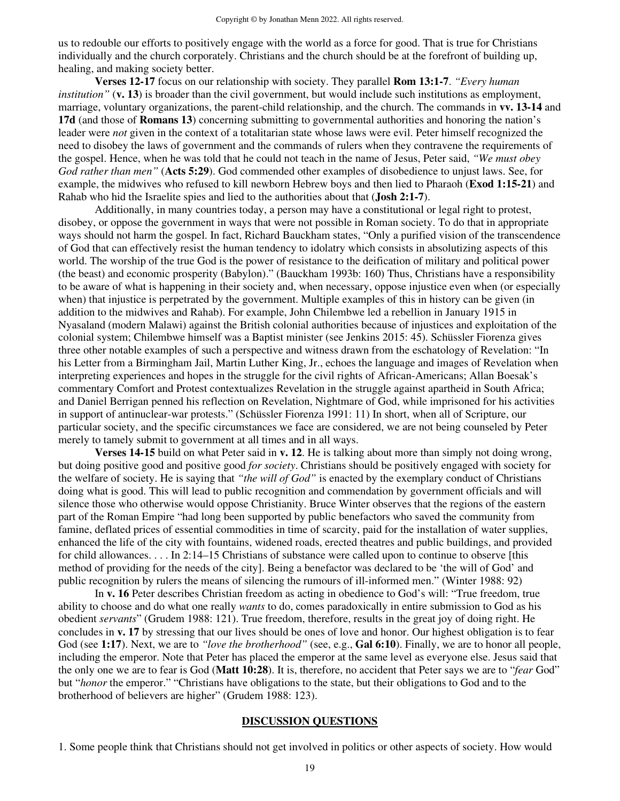us to redouble our efforts to positively engage with the world as a force for good. That is true for Christians individually and the church corporately. Christians and the church should be at the forefront of building up, healing, and making society better.

**Verses 12-17** focus on our relationship with society. They parallel **Rom 13:1-7**. *"Every human institution"* (**v. 13**) is broader than the civil government, but would include such institutions as employment, marriage, voluntary organizations, the parent-child relationship, and the church. The commands in **vv. 13-14** and **17d** (and those of **Romans 13**) concerning submitting to governmental authorities and honoring the nation's leader were *not* given in the context of a totalitarian state whose laws were evil. Peter himself recognized the need to disobey the laws of government and the commands of rulers when they contravene the requirements of the gospel. Hence, when he was told that he could not teach in the name of Jesus, Peter said, *"We must obey God rather than men"* (**Acts 5:29**). God commended other examples of disobedience to unjust laws. See, for example, the midwives who refused to kill newborn Hebrew boys and then lied to Pharaoh (**Exod 1:15-21**) and Rahab who hid the Israelite spies and lied to the authorities about that (**Josh 2:1-7**).

Additionally, in many countries today, a person may have a constitutional or legal right to protest, disobey, or oppose the government in ways that were not possible in Roman society. To do that in appropriate ways should not harm the gospel. In fact, Richard Bauckham states, "Only a purified vision of the transcendence of God that can effectively resist the human tendency to idolatry which consists in absolutizing aspects of this world. The worship of the true God is the power of resistance to the deification of military and political power (the beast) and economic prosperity (Babylon)." (Bauckham 1993b: 160) Thus, Christians have a responsibility to be aware of what is happening in their society and, when necessary, oppose injustice even when (or especially when) that injustice is perpetrated by the government. Multiple examples of this in history can be given (in addition to the midwives and Rahab). For example, John Chilembwe led a rebellion in January 1915 in Nyasaland (modern Malawi) against the British colonial authorities because of injustices and exploitation of the colonial system; Chilembwe himself was a Baptist minister (see Jenkins 2015: 45). Schüssler Fiorenza gives three other notable examples of such a perspective and witness drawn from the eschatology of Revelation: "In his Letter from a Birmingham Jail, Martin Luther King, Jr., echoes the language and images of Revelation when interpreting experiences and hopes in the struggle for the civil rights of African-Americans; Allan Boesak's commentary Comfort and Protest contextualizes Revelation in the struggle against apartheid in South Africa; and Daniel Berrigan penned his reflection on Revelation, Nightmare of God, while imprisoned for his activities in support of antinuclear-war protests." (Schüssler Fiorenza 1991: 11) In short, when all of Scripture, our particular society, and the specific circumstances we face are considered, we are not being counseled by Peter merely to tamely submit to government at all times and in all ways.

**Verses 14-15** build on what Peter said in **v. 12**. He is talking about more than simply not doing wrong, but doing positive good and positive good *for society*. Christians should be positively engaged with society for the welfare of society. He is saying that *"the will of God"* is enacted by the exemplary conduct of Christians doing what is good. This will lead to public recognition and commendation by government officials and will silence those who otherwise would oppose Christianity. Bruce Winter observes that the regions of the eastern part of the Roman Empire "had long been supported by public benefactors who saved the community from famine, deflated prices of essential commodities in time of scarcity, paid for the installation of water supplies, enhanced the life of the city with fountains, widened roads, erected theatres and public buildings, and provided for child allowances. . . . In 2:14–15 Christians of substance were called upon to continue to observe [this method of providing for the needs of the city]. Being a benefactor was declared to be 'the will of God' and public recognition by rulers the means of silencing the rumours of ill-informed men." (Winter 1988: 92)

 In **v. 16** Peter describes Christian freedom as acting in obedience to God's will: "True freedom, true ability to choose and do what one really *wants* to do, comes paradoxically in entire submission to God as his obedient *servants*" (Grudem 1988: 121). True freedom, therefore, results in the great joy of doing right. He concludes in **v. 17** by stressing that our lives should be ones of love and honor. Our highest obligation is to fear God (see **1:17**). Next, we are to *"love the brotherhood"* (see, e.g., **Gal 6:10**). Finally, we are to honor all people, including the emperor. Note that Peter has placed the emperor at the same level as everyone else. Jesus said that the only one we are to fear is God (**Matt 10:28**). It is, therefore, no accident that Peter says we are to "*fear* God" but "*honor* the emperor." "Christians have obligations to the state, but their obligations to God and to the brotherhood of believers are higher" (Grudem 1988: 123).

#### **DISCUSSION QUESTIONS**

1. Some people think that Christians should not get involved in politics or other aspects of society. How would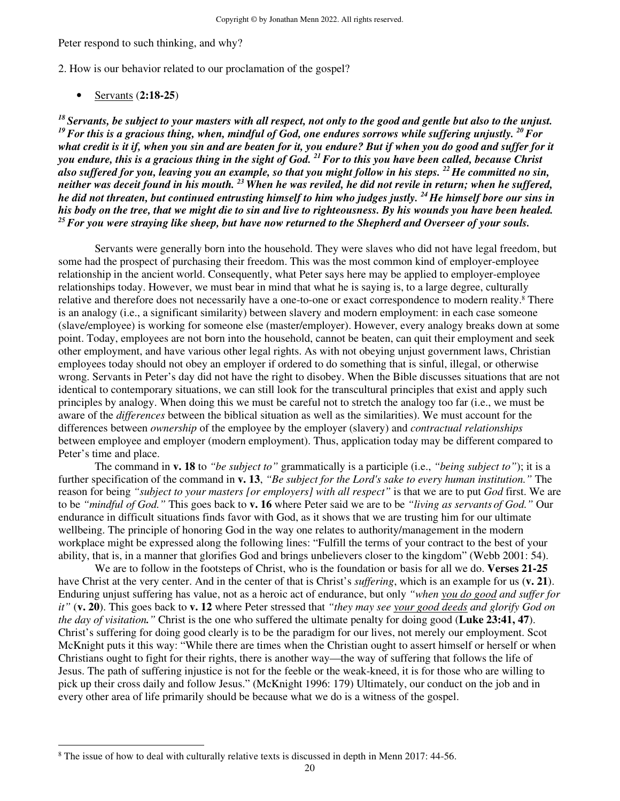#### Peter respond to such thinking, and why?

2. How is our behavior related to our proclamation of the gospel?

• Servants (**2:18-25**)

*<sup>18</sup>Servants, be subject to your masters with all respect, not only to the good and gentle but also to the unjust. <sup>19</sup>For this is a gracious thing, when, mindful of God, one endures sorrows while suffering unjustly. <sup>20</sup>For what credit is it if, when you sin and are beaten for it, you endure? But if when you do good and suffer for it you endure, this is a gracious thing in the sight of God. <sup>21</sup>For to this you have been called, because Christ also suffered for you, leaving you an example, so that you might follow in his steps. <sup>22</sup>He committed no sin, neither was deceit found in his mouth. <sup>23</sup>When he was reviled, he did not revile in return; when he suffered, he did not threaten, but continued entrusting himself to him who judges justly. <sup>24</sup>He himself bore our sins in his body on the tree, that we might die to sin and live to righteousness. By his wounds you have been healed. <sup>25</sup>For you were straying like sheep, but have now returned to the Shepherd and Overseer of your souls.* 

Servants were generally born into the household. They were slaves who did not have legal freedom, but some had the prospect of purchasing their freedom. This was the most common kind of employer-employee relationship in the ancient world. Consequently, what Peter says here may be applied to employer-employee relationships today. However, we must bear in mind that what he is saying is, to a large degree, culturally relative and therefore does not necessarily have a one-to-one or exact correspondence to modern reality.<sup>8</sup> There is an analogy (i.e., a significant similarity) between slavery and modern employment: in each case someone (slave/employee) is working for someone else (master/employer). However, every analogy breaks down at some point. Today, employees are not born into the household, cannot be beaten, can quit their employment and seek other employment, and have various other legal rights. As with not obeying unjust government laws, Christian employees today should not obey an employer if ordered to do something that is sinful, illegal, or otherwise wrong. Servants in Peter's day did not have the right to disobey. When the Bible discusses situations that are not identical to contemporary situations, we can still look for the transcultural principles that exist and apply such principles by analogy. When doing this we must be careful not to stretch the analogy too far (i.e., we must be aware of the *differences* between the biblical situation as well as the similarities). We must account for the differences between *ownership* of the employee by the employer (slavery) and *contractual relationships*  between employee and employer (modern employment). Thus, application today may be different compared to Peter's time and place.

The command in **v. 18** to *"be subject to"* grammatically is a participle (i.e., *"being subject to"*); it is a further specification of the command in **v. 13**, *"Be subject for the Lord's sake to every human institution."* The reason for being *"subject to your masters [or employers] with all respect"* is that we are to put *God* first. We are to be *"mindful of God."* This goes back to **v. 16** where Peter said we are to be *"living as servants of God."* Our endurance in difficult situations finds favor with God, as it shows that we are trusting him for our ultimate wellbeing. The principle of honoring God in the way one relates to authority/management in the modern workplace might be expressed along the following lines: "Fulfill the terms of your contract to the best of your ability, that is, in a manner that glorifies God and brings unbelievers closer to the kingdom" (Webb 2001: 54).

We are to follow in the footsteps of Christ, who is the foundation or basis for all we do. **Verses 21-25** have Christ at the very center. And in the center of that is Christ's *suffering*, which is an example for us (**v. 21**). Enduring unjust suffering has value, not as a heroic act of endurance, but only *"when you do good and suffer for it"* (**v. 20**). This goes back to **v. 12** where Peter stressed that *"they may see your good deeds and glorify God on the day of visitation."* Christ is the one who suffered the ultimate penalty for doing good (**Luke 23:41, 47**). Christ's suffering for doing good clearly is to be the paradigm for our lives, not merely our employment. Scot McKnight puts it this way: "While there are times when the Christian ought to assert himself or herself or when Christians ought to fight for their rights, there is another way—the way of suffering that follows the life of Jesus. The path of suffering injustice is not for the feeble or the weak-kneed, it is for those who are willing to pick up their cross daily and follow Jesus." (McKnight 1996: 179) Ultimately, our conduct on the job and in every other area of life primarily should be because what we do is a witness of the gospel.

<sup>&</sup>lt;sup>8</sup> The issue of how to deal with culturally relative texts is discussed in depth in Menn 2017: 44-56.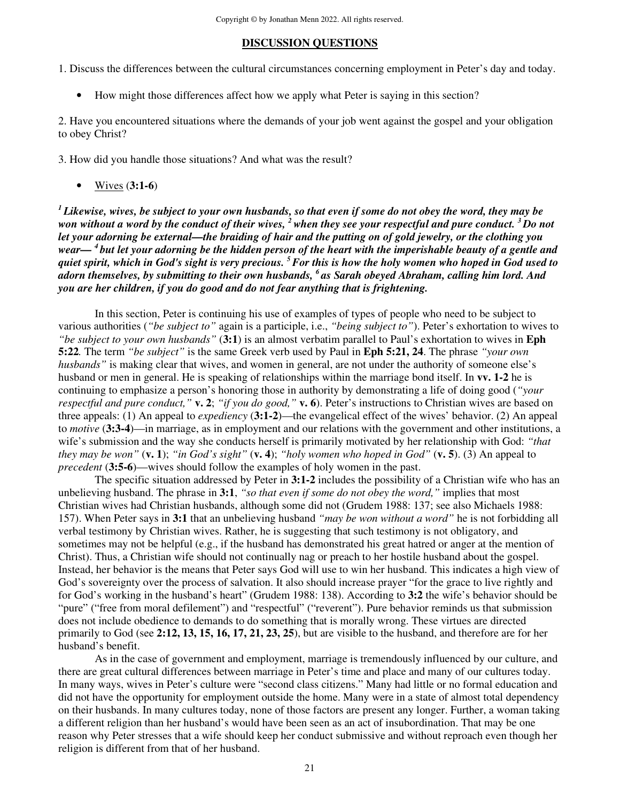#### **DISCUSSION QUESTIONS**

1. Discuss the differences between the cultural circumstances concerning employment in Peter's day and today.

• How might those differences affect how we apply what Peter is saying in this section?

2. Have you encountered situations where the demands of your job went against the gospel and your obligation to obey Christ?

3. How did you handle those situations? And what was the result?

• Wives (**3:1-6**)

*<sup>1</sup>Likewise, wives, be subject to your own husbands, so that even if some do not obey the word, they may be won without a word by the conduct of their wives, <sup>2</sup>when they see your respectful and pure conduct. <sup>3</sup>Do not let your adorning be external—the braiding of hair and the putting on of gold jewelry, or the clothing you wear— <sup>4</sup>but let your adorning be the hidden person of the heart with the imperishable beauty of a gentle and quiet spirit, which in God's sight is very precious. <sup>5</sup>For this is how the holy women who hoped in God used to adorn themselves, by submitting to their own husbands, <sup>6</sup>as Sarah obeyed Abraham, calling him lord. And you are her children, if you do good and do not fear anything that is frightening.* 

 In this section, Peter is continuing his use of examples of types of people who need to be subject to various authorities (*"be subject to"* again is a participle, i.e., *"being subject to"*). Peter's exhortation to wives to *"be subject to your own husbands"* (**3:1**) is an almost verbatim parallel to Paul's exhortation to wives in **Eph 5:22***.* The term *"be subject"* is the same Greek verb used by Paul in **Eph 5:21, 24**. The phrase *"your own husbands*" is making clear that wives, and women in general, are not under the authority of someone else's husband or men in general. He is speaking of relationships within the marriage bond itself. In **vv. 1-2** he is continuing to emphasize a person's honoring those in authority by demonstrating a life of doing good (*"your respectful and pure conduct,"* **v. 2**; *"if you do good,"* **v. 6**). Peter's instructions to Christian wives are based on three appeals: (1) An appeal to *expediency* (**3:1-2**)—the evangelical effect of the wives' behavior. (2) An appeal to *motive* (**3:3-4**)—in marriage, as in employment and our relations with the government and other institutions, a wife's submission and the way she conducts herself is primarily motivated by her relationship with God: *"that they may be won"* (**v. 1**); *"in God's sight"* (**v. 4**); *"holy women who hoped in God"* (**v. 5**). (3) An appeal to *precedent* (**3:5-6**)—wives should follow the examples of holy women in the past.

 The specific situation addressed by Peter in **3:1-2** includes the possibility of a Christian wife who has an unbelieving husband. The phrase in **3:1**, *"so that even if some do not obey the word,"* implies that most Christian wives had Christian husbands, although some did not (Grudem 1988: 137; see also Michaels 1988: 157). When Peter says in **3:1** that an unbelieving husband *"may be won without a word"* he is not forbidding all verbal testimony by Christian wives. Rather, he is suggesting that such testimony is not obligatory, and sometimes may not be helpful (e.g., if the husband has demonstrated his great hatred or anger at the mention of Christ). Thus, a Christian wife should not continually nag or preach to her hostile husband about the gospel. Instead, her behavior is the means that Peter says God will use to win her husband. This indicates a high view of God's sovereignty over the process of salvation. It also should increase prayer "for the grace to live rightly and for God's working in the husband's heart" (Grudem 1988: 138). According to **3:2** the wife's behavior should be "pure" ("free from moral defilement") and "respectful" ("reverent"). Pure behavior reminds us that submission does not include obedience to demands to do something that is morally wrong. These virtues are directed primarily to God (see **2:12, 13, 15, 16, 17, 21, 23, 25**), but are visible to the husband, and therefore are for her husband's benefit.

 As in the case of government and employment, marriage is tremendously influenced by our culture, and there are great cultural differences between marriage in Peter's time and place and many of our cultures today. In many ways, wives in Peter's culture were "second class citizens." Many had little or no formal education and did not have the opportunity for employment outside the home. Many were in a state of almost total dependency on their husbands. In many cultures today, none of those factors are present any longer. Further, a woman taking a different religion than her husband's would have been seen as an act of insubordination. That may be one reason why Peter stresses that a wife should keep her conduct submissive and without reproach even though her religion is different from that of her husband.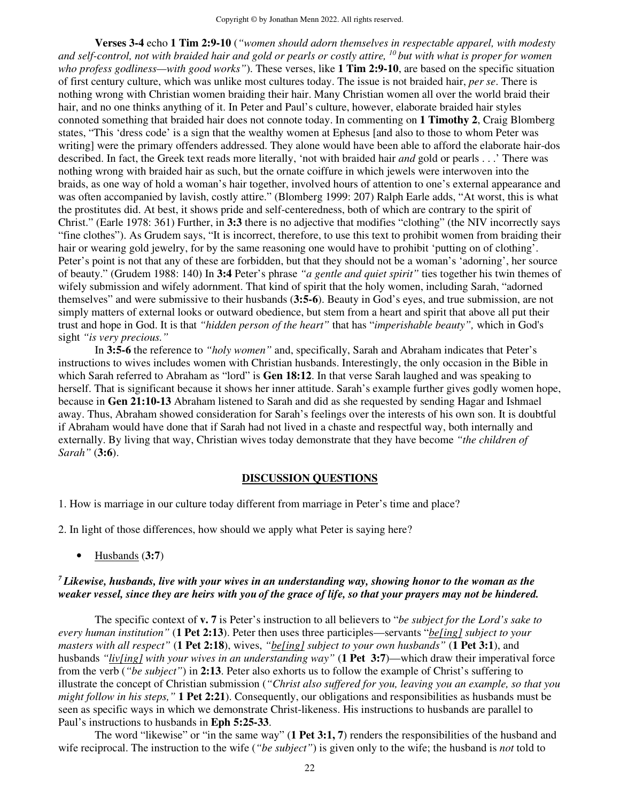**Verses 3-4** echo **1 Tim 2:9-10** (*"women should adorn themselves in respectable apparel, with modesty and self-control, not with braided hair and gold or pearls or costly attire, <sup>10</sup>but with what is proper for women who profess godliness—with good works"*). These verses, like **1 Tim 2:9-10**, are based on the specific situation of first century culture, which was unlike most cultures today. The issue is not braided hair, *per se*. There is nothing wrong with Christian women braiding their hair. Many Christian women all over the world braid their hair, and no one thinks anything of it. In Peter and Paul's culture, however, elaborate braided hair styles connoted something that braided hair does not connote today. In commenting on **1 Timothy 2**, Craig Blomberg states, "This 'dress code' is a sign that the wealthy women at Ephesus [and also to those to whom Peter was writing] were the primary offenders addressed. They alone would have been able to afford the elaborate hair-dos described. In fact, the Greek text reads more literally, 'not with braided hair *and* gold or pearls . . .' There was nothing wrong with braided hair as such, but the ornate coiffure in which jewels were interwoven into the braids, as one way of hold a woman's hair together, involved hours of attention to one's external appearance and was often accompanied by lavish, costly attire." (Blomberg 1999: 207) Ralph Earle adds, "At worst, this is what the prostitutes did. At best, it shows pride and self-centeredness, both of which are contrary to the spirit of Christ." (Earle 1978: 361) Further, in **3:3** there is no adjective that modifies "clothing" (the NIV incorrectly says "fine clothes"). As Grudem says, "It is incorrect, therefore, to use this text to prohibit women from braiding their hair or wearing gold jewelry, for by the same reasoning one would have to prohibit 'putting on of clothing'. Peter's point is not that any of these are forbidden, but that they should not be a woman's 'adorning', her source of beauty." (Grudem 1988: 140) In **3:4** Peter's phrase *"a gentle and quiet spirit"* ties together his twin themes of wifely submission and wifely adornment. That kind of spirit that the holy women, including Sarah, "adorned themselves" and were submissive to their husbands (**3:5-6**). Beauty in God's eyes, and true submission, are not simply matters of external looks or outward obedience, but stem from a heart and spirit that above all put their trust and hope in God. It is that *"hidden person of the heart"* that has "*imperishable beauty",* which in God's sight *"is very precious."*

 In **3:5-6** the reference to *"holy women"* and, specifically, Sarah and Abraham indicates that Peter's instructions to wives includes women with Christian husbands. Interestingly, the only occasion in the Bible in which Sarah referred to Abraham as "lord" is **Gen 18:12**. In that verse Sarah laughed and was speaking to herself. That is significant because it shows her inner attitude. Sarah's example further gives godly women hope, because in **Gen 21:10-13** Abraham listened to Sarah and did as she requested by sending Hagar and Ishmael away. Thus, Abraham showed consideration for Sarah's feelings over the interests of his own son. It is doubtful if Abraham would have done that if Sarah had not lived in a chaste and respectful way, both internally and externally. By living that way, Christian wives today demonstrate that they have become *"the children of Sarah"* (**3:6**).

## **DISCUSSION QUESTIONS**

1. How is marriage in our culture today different from marriage in Peter's time and place?

- 2. In light of those differences, how should we apply what Peter is saying here?
	- Husbands (**3:7**)

## *<sup>7</sup>Likewise, husbands, live with your wives in an understanding way, showing honor to the woman as the weaker vessel, since they are heirs with you of the grace of life, so that your prayers may not be hindered.*

The specific context of **v. 7** is Peter's instruction to all believers to "*be subject for the Lord's sake to every human institution"* (**1 Pet 2:13**). Peter then uses three participles—servants "*be[ing] subject to your masters with all respect"* (**1 Pet 2:18**), wives, *"be[ing] subject to your own husbands"* (**1 Pet 3:1**), and husbands *"liv[ing] with your wives in an understanding way"* (**1 Pet 3:7**)—which draw their imperatival force from the verb (*"be subject"*) in **2:13**. Peter also exhorts us to follow the example of Christ's suffering to illustrate the concept of Christian submission (*"Christ also suffered for you, leaving you an example, so that you might follow in his steps,"* **1 Pet 2:21**). Consequently, our obligations and responsibilities as husbands must be seen as specific ways in which we demonstrate Christ-likeness. His instructions to husbands are parallel to Paul's instructions to husbands in **Eph 5:25-33**.

The word "likewise" or "in the same way" (**1 Pet 3:1, 7**) renders the responsibilities of the husband and wife reciprocal. The instruction to the wife (*"be subject"*) is given only to the wife; the husband is *not* told to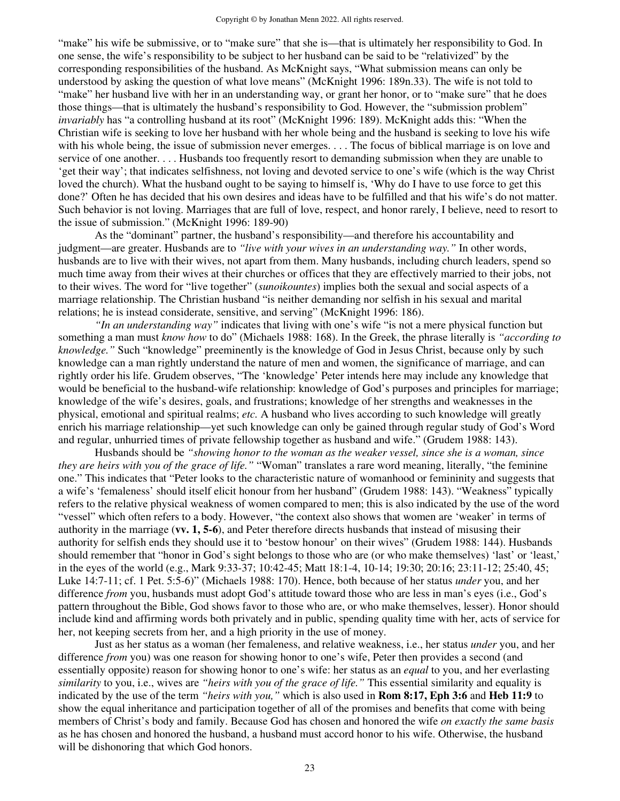"make" his wife be submissive, or to "make sure" that she is—that is ultimately her responsibility to God. In one sense, the wife's responsibility to be subject to her husband can be said to be "relativized" by the corresponding responsibilities of the husband. As McKnight says, "What submission means can only be understood by asking the question of what love means" (McKnight 1996: 189n.33). The wife is not told to "make" her husband live with her in an understanding way, or grant her honor, or to "make sure" that he does those things—that is ultimately the husband's responsibility to God. However, the "submission problem" *invariably* has "a controlling husband at its root" (McKnight 1996: 189). McKnight adds this: "When the Christian wife is seeking to love her husband with her whole being and the husband is seeking to love his wife with his whole being, the issue of submission never emerges. . . . The focus of biblical marriage is on love and service of one another. . . . Husbands too frequently resort to demanding submission when they are unable to 'get their way'; that indicates selfishness, not loving and devoted service to one's wife (which is the way Christ loved the church). What the husband ought to be saying to himself is, 'Why do I have to use force to get this done?' Often he has decided that his own desires and ideas have to be fulfilled and that his wife's do not matter. Such behavior is not loving. Marriages that are full of love, respect, and honor rarely, I believe, need to resort to the issue of submission." (McKnight 1996: 189-90)

As the "dominant" partner, the husband's responsibility—and therefore his accountability and judgment—are greater. Husbands are to *"live with your wives in an understanding way."* In other words, husbands are to live with their wives, not apart from them. Many husbands, including church leaders, spend so much time away from their wives at their churches or offices that they are effectively married to their jobs, not to their wives. The word for "live together" (*sunoikountes*) implies both the sexual and social aspects of a marriage relationship. The Christian husband "is neither demanding nor selfish in his sexual and marital relations; he is instead considerate, sensitive, and serving" (McKnight 1996: 186).

 *"In an understanding way"* indicates that living with one's wife "is not a mere physical function but something a man must *know how* to do" (Michaels 1988: 168). In the Greek, the phrase literally is *"according to knowledge."* Such "knowledge" preeminently is the knowledge of God in Jesus Christ, because only by such knowledge can a man rightly understand the nature of men and women, the significance of marriage, and can rightly order his life. Grudem observes, "The 'knowledge' Peter intends here may include any knowledge that would be beneficial to the husband-wife relationship: knowledge of God's purposes and principles for marriage; knowledge of the wife's desires, goals, and frustrations; knowledge of her strengths and weaknesses in the physical, emotional and spiritual realms; *etc.* A husband who lives according to such knowledge will greatly enrich his marriage relationship—yet such knowledge can only be gained through regular study of God's Word and regular, unhurried times of private fellowship together as husband and wife." (Grudem 1988: 143).

 Husbands should be *"showing honor to the woman as the weaker vessel, since she is a woman, since they are heirs with you of the grace of life."* "Woman" translates a rare word meaning, literally, "the feminine one." This indicates that "Peter looks to the characteristic nature of womanhood or femininity and suggests that a wife's 'femaleness' should itself elicit honour from her husband" (Grudem 1988: 143). "Weakness" typically refers to the relative physical weakness of women compared to men; this is also indicated by the use of the word "vessel" which often refers to a body. However, "the context also shows that women are 'weaker' in terms of authority in the marriage (**vv. 1, 5-6**), and Peter therefore directs husbands that instead of misusing their authority for selfish ends they should use it to 'bestow honour' on their wives" (Grudem 1988: 144). Husbands should remember that "honor in God's sight belongs to those who are (or who make themselves) 'last' or 'least,' in the eyes of the world (e.g., Mark 9:33-37; 10:42-45; Matt 18:1-4, 10-14; 19:30; 20:16; 23:11-12; 25:40, 45; Luke 14:7-11; cf. 1 Pet. 5:5-6)" (Michaels 1988: 170). Hence, both because of her status *under* you, and her difference *from* you, husbands must adopt God's attitude toward those who are less in man's eyes (i.e., God's pattern throughout the Bible, God shows favor to those who are, or who make themselves, lesser). Honor should include kind and affirming words both privately and in public, spending quality time with her, acts of service for her, not keeping secrets from her, and a high priority in the use of money.

 Just as her status as a woman (her femaleness, and relative weakness, i.e., her status *under* you, and her difference *from* you) was one reason for showing honor to one's wife, Peter then provides a second (and essentially opposite) reason for showing honor to one's wife: her status as an *equal* to you, and her everlasting *similarity* to you, i.e., wives are *"heirs with you of the grace of life."* This essential similarity and equality is indicated by the use of the term *"heirs with you,"* which is also used in **Rom 8:17, Eph 3:6** and **Heb 11:9** to show the equal inheritance and participation together of all of the promises and benefits that come with being members of Christ's body and family. Because God has chosen and honored the wife *on exactly the same basis*  as he has chosen and honored the husband, a husband must accord honor to his wife. Otherwise, the husband will be dishonoring that which God honors.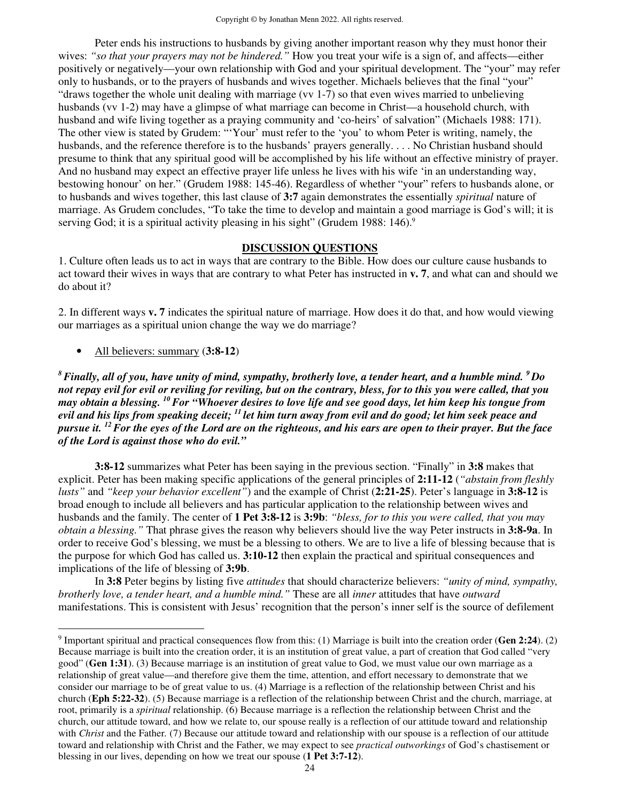Peter ends his instructions to husbands by giving another important reason why they must honor their wives: *"so that your prayers may not be hindered."* How you treat your wife is a sign of, and affects—either positively or negatively—your own relationship with God and your spiritual development. The "your" may refer only to husbands, or to the prayers of husbands and wives together. Michaels believes that the final "your" "draws together the whole unit dealing with marriage (vv 1-7) so that even wives married to unbelieving husbands (vv 1-2) may have a glimpse of what marriage can become in Christ—a household church, with husband and wife living together as a praying community and 'co-heirs' of salvation" (Michaels 1988: 171). The other view is stated by Grudem: "'Your' must refer to the 'you' to whom Peter is writing, namely, the husbands, and the reference therefore is to the husbands' prayers generally. . . . No Christian husband should presume to think that any spiritual good will be accomplished by his life without an effective ministry of prayer. And no husband may expect an effective prayer life unless he lives with his wife 'in an understanding way, bestowing honour' on her." (Grudem 1988: 145-46). Regardless of whether "your" refers to husbands alone, or to husbands and wives together, this last clause of **3:7** again demonstrates the essentially *spiritual* nature of marriage. As Grudem concludes, "To take the time to develop and maintain a good marriage is God's will; it is serving God; it is a spiritual activity pleasing in his sight" (Grudem 1988: 146).<sup>9</sup>

#### **DISCUSSION QUESTIONS**

1. Culture often leads us to act in ways that are contrary to the Bible. How does our culture cause husbands to act toward their wives in ways that are contrary to what Peter has instructed in **v. 7**, and what can and should we do about it?

2. In different ways **v. 7** indicates the spiritual nature of marriage. How does it do that, and how would viewing our marriages as a spiritual union change the way we do marriage?

• All believers: summary (**3:8-12**)

*<sup>8</sup>Finally, all of you, have unity of mind, sympathy, brotherly love, a tender heart, and a humble mind. <sup>9</sup>Do not repay evil for evil or reviling for reviling, but on the contrary, bless, for to this you were called, that you may obtain a blessing. <sup>10</sup>For "Whoever desires to love life and see good days, let him keep his tongue from evil and his lips from speaking deceit; <sup>11</sup>let him turn away from evil and do good; let him seek peace and pursue it. <sup>12</sup>For the eyes of the Lord are on the righteous, and his ears are open to their prayer. But the face of the Lord is against those who do evil."* 

**3:8-12** summarizes what Peter has been saying in the previous section. "Finally" in **3:8** makes that explicit. Peter has been making specific applications of the general principles of **2:11-12** (*"abstain from fleshly lusts"* and *"keep your behavior excellent"*) and the example of Christ (**2:21-25**). Peter's language in **3:8-12** is broad enough to include all believers and has particular application to the relationship between wives and husbands and the family. The center of **1 Pet 3:8-12** is **3:9b**: *"bless, for to this you were called, that you may obtain a blessing."* That phrase gives the reason why believers should live the way Peter instructs in **3:8-9a**. In order to receive God's blessing, we must be a blessing to others. We are to live a life of blessing because that is the purpose for which God has called us. **3:10-12** then explain the practical and spiritual consequences and implications of the life of blessing of **3:9b**.

In **3:8** Peter begins by listing five *attitudes* that should characterize believers: *"unity of mind, sympathy, brotherly love, a tender heart, and a humble mind."* These are all *inner* attitudes that have *outward*  manifestations. This is consistent with Jesus' recognition that the person's inner self is the source of defilement

<sup>9</sup> Important spiritual and practical consequences flow from this: (1) Marriage is built into the creation order (**Gen 2:24**). (2) Because marriage is built into the creation order, it is an institution of great value, a part of creation that God called "very good" (**Gen 1:31**). (3) Because marriage is an institution of great value to God, we must value our own marriage as a relationship of great value—and therefore give them the time, attention, and effort necessary to demonstrate that we consider our marriage to be of great value to us. (4) Marriage is a reflection of the relationship between Christ and his church (**Eph 5:22-32**). (5) Because marriage is a reflection of the relationship between Christ and the church, marriage, at root, primarily is a *spiritual* relationship. (6) Because marriage is a reflection the relationship between Christ and the church, our attitude toward, and how we relate to, our spouse really is a reflection of our attitude toward and relationship with *Christ* and the Father. (7) Because our attitude toward and relationship with our spouse is a reflection of our attitude toward and relationship with Christ and the Father, we may expect to see *practical outworkings* of God's chastisement or blessing in our lives, depending on how we treat our spouse (**1 Pet 3:7-12**).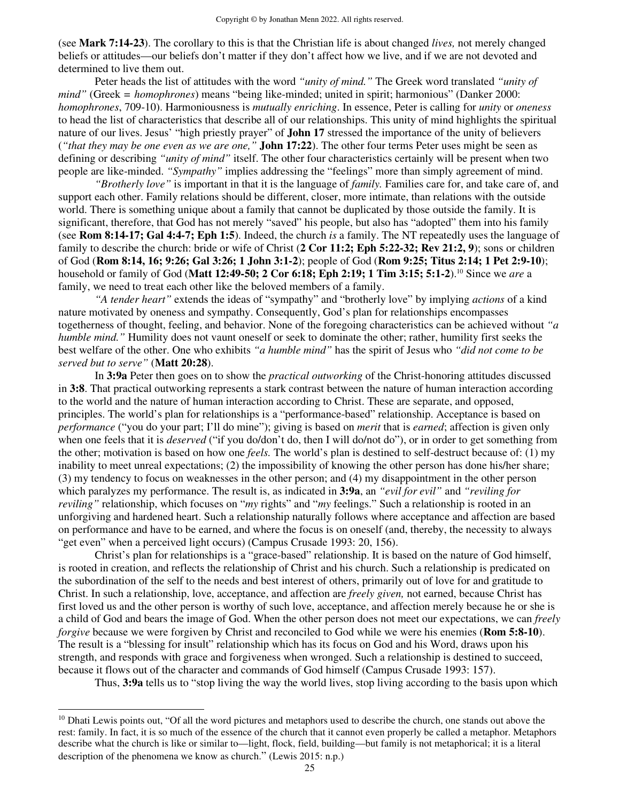(see **Mark 7:14-23**). The corollary to this is that the Christian life is about changed *lives,* not merely changed beliefs or attitudes—our beliefs don't matter if they don't affect how we live, and if we are not devoted and determined to live them out.

Peter heads the list of attitudes with the word *"unity of mind."* The Greek word translated *"unity of mind"* (Greek *= homophrones*) means "being like-minded; united in spirit; harmonious" (Danker 2000: *homophrones*, 709-10). Harmoniousness is *mutually enriching*. In essence, Peter is calling for *unity* or *oneness*  to head the list of characteristics that describe all of our relationships. This unity of mind highlights the spiritual nature of our lives. Jesus' "high priestly prayer" of **John 17** stressed the importance of the unity of believers (*"that they may be one even as we are one,"* **John 17:22**). The other four terms Peter uses might be seen as defining or describing *"unity of mind"* itself. The other four characteristics certainly will be present when two people are like-minded. *"Sympathy"* implies addressing the "feelings" more than simply agreement of mind.

*"Brotherly love"* is important in that it is the language of *family.* Families care for, and take care of, and support each other. Family relations should be different, closer, more intimate, than relations with the outside world. There is something unique about a family that cannot be duplicated by those outside the family. It is significant, therefore, that God has not merely "saved" his people, but also has "adopted" them into his family (see **Rom 8:14-17; Gal 4:4-7; Eph 1:5**). Indeed, the church *is* a family. The NT repeatedly uses the language of family to describe the church: bride or wife of Christ (**2 Cor 11:2; Eph 5:22-32; Rev 21:2, 9**); sons or children of God (**Rom 8:14, 16; 9:26; Gal 3:26; 1 John 3:1-2**); people of God (**Rom 9:25; Titus 2:14; 1 Pet 2:9-10**); household or family of God (**Matt 12:49-50; 2 Cor 6:18; Eph 2:19; 1 Tim 3:15; 5:1-2**).<sup>10</sup> Since we *are* a family, we need to treat each other like the beloved members of a family.

*"A tender heart"* extends the ideas of "sympathy" and "brotherly love" by implying *actions* of a kind nature motivated by oneness and sympathy. Consequently, God's plan for relationships encompasses togetherness of thought, feeling, and behavior. None of the foregoing characteristics can be achieved without *"a humble mind.*" Humility does not vaunt oneself or seek to dominate the other; rather, humility first seeks the best welfare of the other. One who exhibits *"a humble mind"* has the spirit of Jesus who *"did not come to be served but to serve"* (**Matt 20:28**).

In **3:9a** Peter then goes on to show the *practical outworking* of the Christ-honoring attitudes discussed in **3:8**. That practical outworking represents a stark contrast between the nature of human interaction according to the world and the nature of human interaction according to Christ. These are separate, and opposed, principles. The world's plan for relationships is a "performance-based" relationship. Acceptance is based on *performance* ("you do your part; I'll do mine"); giving is based on *merit* that is *earned*; affection is given only when one feels that it is *deserved* ("if you do/don't do, then I will do/not do"), or in order to get something from the other; motivation is based on how one *feels.* The world's plan is destined to self-destruct because of: (1) my inability to meet unreal expectations; (2) the impossibility of knowing the other person has done his/her share; (3) my tendency to focus on weaknesses in the other person; and (4) my disappointment in the other person which paralyzes my performance. The result is, as indicated in **3:9a**, an *"evil for evil"* and *"reviling for reviling"* relationship, which focuses on "*my* rights" and "*my* feelings." Such a relationship is rooted in an unforgiving and hardened heart. Such a relationship naturally follows where acceptance and affection are based on performance and have to be earned, and where the focus is on oneself (and, thereby, the necessity to always "get even" when a perceived light occurs) (Campus Crusade 1993: 20, 156).

Christ's plan for relationships is a "grace-based" relationship. It is based on the nature of God himself, is rooted in creation, and reflects the relationship of Christ and his church. Such a relationship is predicated on the subordination of the self to the needs and best interest of others, primarily out of love for and gratitude to Christ. In such a relationship, love, acceptance, and affection are *freely given,* not earned, because Christ has first loved us and the other person is worthy of such love, acceptance, and affection merely because he or she is a child of God and bears the image of God. When the other person does not meet our expectations, we can *freely forgive* because we were forgiven by Christ and reconciled to God while we were his enemies (**Rom 5:8-10**). The result is a "blessing for insult" relationship which has its focus on God and his Word, draws upon his strength, and responds with grace and forgiveness when wronged. Such a relationship is destined to succeed, because it flows out of the character and commands of God himself (Campus Crusade 1993: 157).

Thus, **3:9a** tells us to "stop living the way the world lives, stop living according to the basis upon which

 $10$  Dhati Lewis points out, "Of all the word pictures and metaphors used to describe the church, one stands out above the rest: family. In fact, it is so much of the essence of the church that it cannot even properly be called a metaphor. Metaphors describe what the church is like or similar to—light, flock, field, building—but family is not metaphorical; it is a literal description of the phenomena we know as church." (Lewis 2015: n.p.)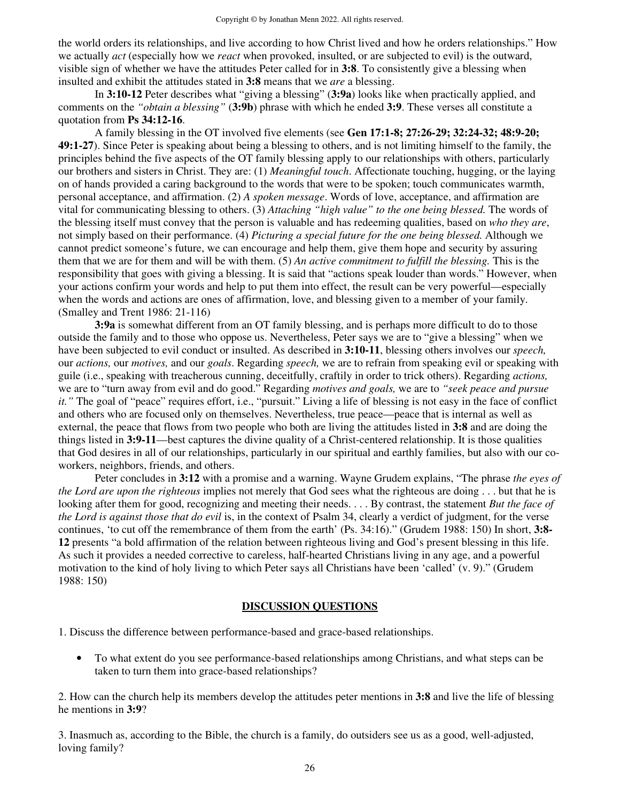the world orders its relationships, and live according to how Christ lived and how he orders relationships." How we actually *act* (especially how we *react* when provoked, insulted, or are subjected to evil) is the outward, visible sign of whether we have the attitudes Peter called for in **3:8**. To consistently give a blessing when insulted and exhibit the attitudes stated in **3:8** means that we *are* a blessing.

In **3:10-12** Peter describes what "giving a blessing" (**3:9a**) looks like when practically applied, and comments on the *"obtain a blessing"* (**3:9b**) phrase with which he ended **3:9**. These verses all constitute a quotation from **Ps 34:12-16**.

A family blessing in the OT involved five elements (see **Gen 17:1-8; 27:26-29; 32:24-32; 48:9-20; 49:1-27**). Since Peter is speaking about being a blessing to others, and is not limiting himself to the family, the principles behind the five aspects of the OT family blessing apply to our relationships with others, particularly our brothers and sisters in Christ. They are: (1) *Meaningful touch*. Affectionate touching, hugging, or the laying on of hands provided a caring background to the words that were to be spoken; touch communicates warmth, personal acceptance, and affirmation. (2) *A spoken message*. Words of love, acceptance, and affirmation are vital for communicating blessing to others. (3) *Attaching "high value" to the one being blessed.* The words of the blessing itself must convey that the person is valuable and has redeeming qualities, based on *who they are*, not simply based on their performance. (4) *Picturing a special future for the one being blessed.* Although we cannot predict someone's future, we can encourage and help them, give them hope and security by assuring them that we are for them and will be with them. (5) *An active commitment to fulfill the blessing.* This is the responsibility that goes with giving a blessing. It is said that "actions speak louder than words." However, when your actions confirm your words and help to put them into effect, the result can be very powerful—especially when the words and actions are ones of affirmation, love, and blessing given to a member of your family. (Smalley and Trent 1986: 21-116)

**3:9a** is somewhat different from an OT family blessing, and is perhaps more difficult to do to those outside the family and to those who oppose us. Nevertheless, Peter says we are to "give a blessing" when we have been subjected to evil conduct or insulted. As described in **3:10-11**, blessing others involves our *speech,*  our *actions,* our *motives,* and our *goals*. Regarding *speech,* we are to refrain from speaking evil or speaking with guile (i.e., speaking with treacherous cunning, deceitfully, craftily in order to trick others). Regarding *actions,* we are to "turn away from evil and do good." Regarding *motives and goals,* we are to *"seek peace and pursue it."* The goal of "peace" requires effort, i.e., "pursuit." Living a life of blessing is not easy in the face of conflict and others who are focused only on themselves. Nevertheless, true peace—peace that is internal as well as external, the peace that flows from two people who both are living the attitudes listed in **3:8** and are doing the things listed in **3:9-11**—best captures the divine quality of a Christ-centered relationship. It is those qualities that God desires in all of our relationships, particularly in our spiritual and earthly families, but also with our coworkers, neighbors, friends, and others.

Peter concludes in **3:12** with a promise and a warning. Wayne Grudem explains, "The phrase *the eyes of the Lord are upon the righteous* implies not merely that God sees what the righteous are doing . . . but that he is looking after them for good, recognizing and meeting their needs. . . . By contrast, the statement *But the face of the Lord is against those that do evil* is, in the context of Psalm 34, clearly a verdict of judgment, for the verse continues, 'to cut off the remembrance of them from the earth' (Ps. 34:16)." (Grudem 1988: 150) In short, **3:8- 12** presents "a bold affirmation of the relation between righteous living and God's present blessing in this life. As such it provides a needed corrective to careless, half-hearted Christians living in any age, and a powerful motivation to the kind of holy living to which Peter says all Christians have been 'called' (v. 9)." (Grudem 1988: 150)

## **DISCUSSION QUESTIONS**

1. Discuss the difference between performance-based and grace-based relationships.

• To what extent do you see performance-based relationships among Christians, and what steps can be taken to turn them into grace-based relationships?

2. How can the church help its members develop the attitudes peter mentions in **3:8** and live the life of blessing he mentions in **3:9**?

3. Inasmuch as, according to the Bible, the church is a family, do outsiders see us as a good, well-adjusted, loving family?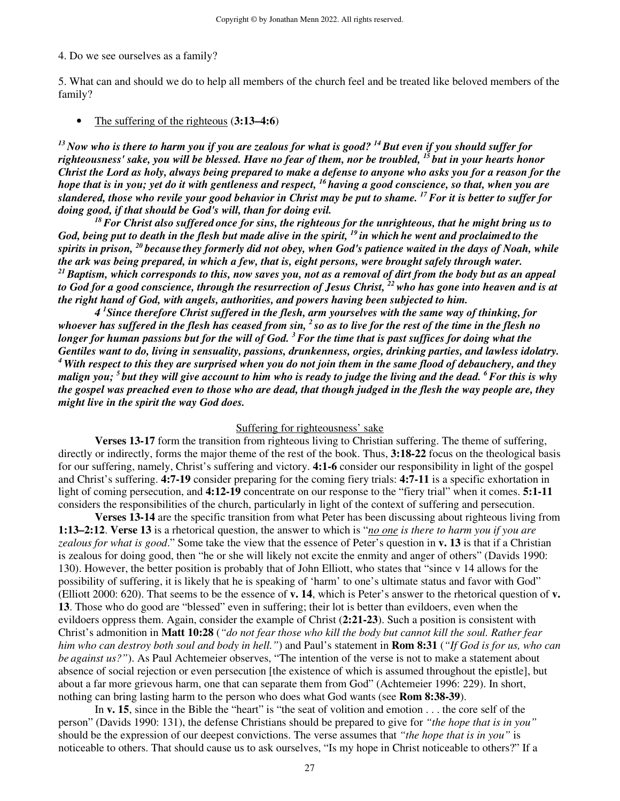## 4. Do we see ourselves as a family?

5. What can and should we do to help all members of the church feel and be treated like beloved members of the family?

#### • The suffering of the righteous (**3:13–4:6**)

*<sup>13</sup>Now who is there to harm you if you are zealous for what is good? <sup>14</sup>But even if you should suffer for righteousness' sake, you will be blessed. Have no fear of them, nor be troubled, <sup>15</sup>but in your hearts honor Christ the Lord as holy, always being prepared to make a defense to anyone who asks you for a reason for the hope that is in you; yet do it with gentleness and respect, <sup>16</sup>having a good conscience, so that, when you are slandered, those who revile your good behavior in Christ may be put to shame. <sup>17</sup>For it is better to suffer for doing good, if that should be God's will, than for doing evil.* 

*<sup>18</sup>For Christ also suffered once for sins, the righteous for the unrighteous, that he might bring us to God, being put to death in the flesh but made alive in the spirit, <sup>19</sup>in which he went and proclaimed to the spirits in prison, <sup>20</sup>because they formerly did not obey, when God's patience waited in the days of Noah, while the ark was being prepared, in which a few, that is, eight persons, were brought safely through water. <sup>21</sup>Baptism, which corresponds to this, now saves you, not as a removal of dirt from the body but as an appeal to God for a good conscience, through the resurrection of Jesus Christ, <sup>22</sup>who has gone into heaven and is at the right hand of God, with angels, authorities, and powers having been subjected to him.* 

 *4 <sup>1</sup>Since therefore Christ suffered in the flesh, arm yourselves with the same way of thinking, for whoever has suffered in the flesh has ceased from sin, <sup>2</sup>so as to live for the rest of the time in the flesh no longer for human passions but for the will of God. <sup>3</sup>For the time that is past suffices for doing what the Gentiles want to do, living in sensuality, passions, drunkenness, orgies, drinking parties, and lawless idolatry. <sup>4</sup>With respect to this they are surprised when you do not join them in the same flood of debauchery, and they malign you; <sup>5</sup>but they will give account to him who is ready to judge the living and the dead. <sup>6</sup>For this is why the gospel was preached even to those who are dead, that though judged in the flesh the way people are, they might live in the spirit the way God does.* 

## Suffering for righteousness' sake

**Verses 13-17** form the transition from righteous living to Christian suffering. The theme of suffering, directly or indirectly, forms the major theme of the rest of the book. Thus, **3:18-22** focus on the theological basis for our suffering, namely, Christ's suffering and victory. **4:1-6** consider our responsibility in light of the gospel and Christ's suffering. **4:7-19** consider preparing for the coming fiery trials: **4:7-11** is a specific exhortation in light of coming persecution, and **4:12-19** concentrate on our response to the "fiery trial" when it comes. **5:1-11** considers the responsibilities of the church, particularly in light of the context of suffering and persecution.

**Verses 13-14** are the specific transition from what Peter has been discussing about righteous living from **1:13–2:12**. **Verse 13** is a rhetorical question, the answer to which is "*no one is there to harm you if you are zealous for what is good*." Some take the view that the essence of Peter's question in **v. 13** is that if a Christian is zealous for doing good, then "he or she will likely not excite the enmity and anger of others" (Davids 1990: 130). However, the better position is probably that of John Elliott, who states that "since v 14 allows for the possibility of suffering, it is likely that he is speaking of 'harm' to one's ultimate status and favor with God" (Elliott 2000: 620). That seems to be the essence of **v. 14**, which is Peter's answer to the rhetorical question of **v. 13**. Those who do good are "blessed" even in suffering; their lot is better than evildoers, even when the evildoers oppress them. Again, consider the example of Christ (**2:21-23**). Such a position is consistent with Christ's admonition in **Matt 10:28** (*"do not fear those who kill the body but cannot kill the soul. Rather fear him who can destroy both soul and body in hell."*) and Paul's statement in **Rom 8:31** (*"If God is for us, who can be against us?"*). As Paul Achtemeier observes, "The intention of the verse is not to make a statement about absence of social rejection or even persecution [the existence of which is assumed throughout the epistle], but about a far more grievous harm, one that can separate them from God" (Achtemeier 1996: 229). In short, nothing can bring lasting harm to the person who does what God wants (see **Rom 8:38-39**).

 In **v. 15**, since in the Bible the "heart" is "the seat of volition and emotion . . . the core self of the person" (Davids 1990: 131), the defense Christians should be prepared to give for *"the hope that is in you"*  should be the expression of our deepest convictions. The verse assumes that *"the hope that is in you"* is noticeable to others. That should cause us to ask ourselves, "Is my hope in Christ noticeable to others?" If a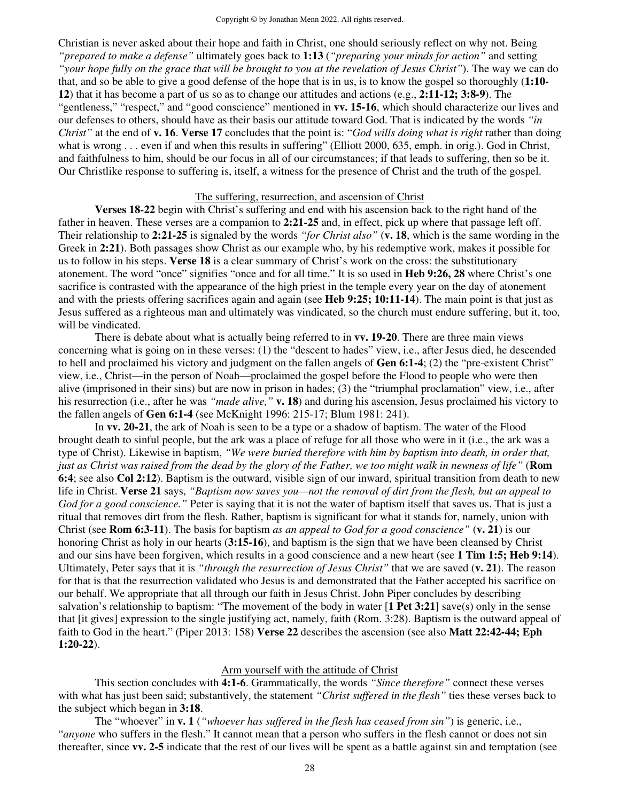Christian is never asked about their hope and faith in Christ, one should seriously reflect on why not. Being *"prepared to make a defense"* ultimately goes back to **1:13** (*"preparing your minds for action"* and setting *"your hope fully on the grace that will be brought to you at the revelation of Jesus Christ"*). The way we can do that, and so be able to give a good defense of the hope that is in us, is to know the gospel so thoroughly (**1:10- 12**) that it has become a part of us so as to change our attitudes and actions (e.g., **2:11-12; 3:8-9**). The "gentleness," "respect," and "good conscience" mentioned in **vv. 15-16**, which should characterize our lives and our defenses to others, should have as their basis our attitude toward God. That is indicated by the words *"in Christ"* at the end of **v. 16**. **Verse 17** concludes that the point is: "*God wills doing what is right* rather than doing what is wrong . . . even if and when this results in suffering" (Elliott 2000, 635, emph. in orig.). God in Christ, and faithfulness to him, should be our focus in all of our circumstances; if that leads to suffering, then so be it. Our Christlike response to suffering is, itself, a witness for the presence of Christ and the truth of the gospel.

## The suffering, resurrection, and ascension of Christ

**Verses 18-22** begin with Christ's suffering and end with his ascension back to the right hand of the father in heaven. These verses are a companion to **2:21-25** and, in effect, pick up where that passage left off. Their relationship to **2:21-25** is signaled by the words *"for Christ also"* (**v. 18**, which is the same wording in the Greek in **2:21**). Both passages show Christ as our example who, by his redemptive work, makes it possible for us to follow in his steps. **Verse 18** is a clear summary of Christ's work on the cross: the substitutionary atonement. The word "once" signifies "once and for all time." It is so used in **Heb 9:26, 28** where Christ's one sacrifice is contrasted with the appearance of the high priest in the temple every year on the day of atonement and with the priests offering sacrifices again and again (see **Heb 9:25; 10:11-14**). The main point is that just as Jesus suffered as a righteous man and ultimately was vindicated, so the church must endure suffering, but it, too, will be vindicated.

 There is debate about what is actually being referred to in **vv. 19-20**. There are three main views concerning what is going on in these verses: (1) the "descent to hades" view, i.e., after Jesus died, he descended to hell and proclaimed his victory and judgment on the fallen angels of **Gen 6:1-4**; (2) the "pre-existent Christ" view, i.e., Christ—in the person of Noah—proclaimed the gospel before the Flood to people who were then alive (imprisoned in their sins) but are now in prison in hades; (3) the "triumphal proclamation" view, i.e., after his resurrection (i.e., after he was *"made alive*," **v. 18**) and during his ascension, Jesus proclaimed his victory to the fallen angels of **Gen 6:1-4** (see McKnight 1996: 215-17; Blum 1981: 241).

 In **vv. 20-21**, the ark of Noah is seen to be a type or a shadow of baptism. The water of the Flood brought death to sinful people, but the ark was a place of refuge for all those who were in it (i.e., the ark was a type of Christ). Likewise in baptism, *"We were buried therefore with him by baptism into death, in order that, just as Christ was raised from the dead by the glory of the Father, we too might walk in newness of life"* (**Rom 6:4**; see also **Col 2:12**). Baptism is the outward, visible sign of our inward, spiritual transition from death to new life in Christ. **Verse 21** says, *"Baptism now saves you—not the removal of dirt from the flesh, but an appeal to God for a good conscience."* Peter is saying that it is not the water of baptism itself that saves us. That is just a ritual that removes dirt from the flesh. Rather, baptism is significant for what it stands for, namely, union with Christ (see **Rom 6:3-11**). The basis for baptism *as an appeal to God for a good conscience"* (**v. 21**) is our honoring Christ as holy in our hearts (**3:15-16**), and baptism is the sign that we have been cleansed by Christ and our sins have been forgiven, which results in a good conscience and a new heart (see **1 Tim 1:5; Heb 9:14**). Ultimately, Peter says that it is *"through the resurrection of Jesus Christ"* that we are saved (**v. 21**). The reason for that is that the resurrection validated who Jesus is and demonstrated that the Father accepted his sacrifice on our behalf. We appropriate that all through our faith in Jesus Christ. John Piper concludes by describing salvation's relationship to baptism: "The movement of the body in water [**1 Pet 3:21**] save(s) only in the sense that [it gives] expression to the single justifying act, namely, faith (Rom. 3:28). Baptism is the outward appeal of faith to God in the heart." (Piper 2013: 158) **Verse 22** describes the ascension (see also **Matt 22:42-44; Eph 1:20-22**).

#### Arm yourself with the attitude of Christ

 This section concludes with **4:1-6**. Grammatically, the words *"Since therefore"* connect these verses with what has just been said; substantively, the statement *"Christ suffered in the flesh"* ties these verses back to the subject which began in **3:18**.

 The "whoever" in **v. 1** (*"whoever has suffered in the flesh has ceased from sin"*) is generic, i.e., "*anyone* who suffers in the flesh." It cannot mean that a person who suffers in the flesh cannot or does not sin thereafter, since **vv. 2-5** indicate that the rest of our lives will be spent as a battle against sin and temptation (see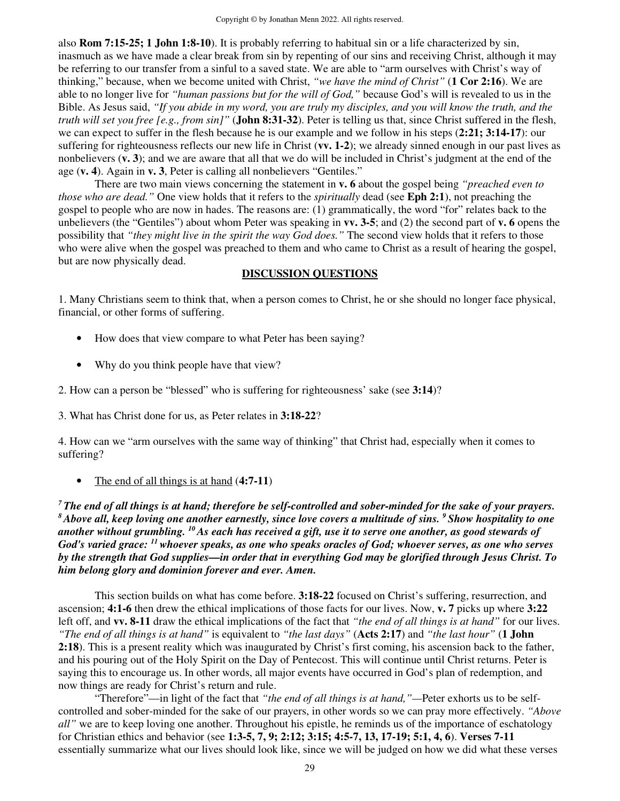also **Rom 7:15-25; 1 John 1:8-10**). It is probably referring to habitual sin or a life characterized by sin, inasmuch as we have made a clear break from sin by repenting of our sins and receiving Christ, although it may be referring to our transfer from a sinful to a saved state. We are able to "arm ourselves with Christ's way of thinking," because, when we become united with Christ, *"we have the mind of Christ"* (**1 Cor 2:16**). We are able to no longer live for *"human passions but for the will of God,"* because God's will is revealed to us in the Bible. As Jesus said, *"If you abide in my word, you are truly my disciples, and you will know the truth, and the truth will set you free [e.g., from sin]"* (**John 8:31-32**). Peter is telling us that, since Christ suffered in the flesh, we can expect to suffer in the flesh because he is our example and we follow in his steps (**2:21; 3:14-17**): our suffering for righteousness reflects our new life in Christ (**vv. 1-2**); we already sinned enough in our past lives as nonbelievers (**v. 3**); and we are aware that all that we do will be included in Christ's judgment at the end of the age (**v. 4**). Again in **v. 3**, Peter is calling all nonbelievers "Gentiles."

There are two main views concerning the statement in **v. 6** about the gospel being *"preached even to those who are dead."* One view holds that it refers to the *spiritually* dead (see **Eph 2:1**), not preaching the gospel to people who are now in hades. The reasons are: (1) grammatically, the word "for" relates back to the unbelievers (the "Gentiles") about whom Peter was speaking in **vv. 3-5**; and (2) the second part of **v. 6** opens the possibility that *"they might live in the spirit the way God does."* The second view holds that it refers to those who were alive when the gospel was preached to them and who came to Christ as a result of hearing the gospel, but are now physically dead.

## **DISCUSSION QUESTIONS**

1. Many Christians seem to think that, when a person comes to Christ, he or she should no longer face physical, financial, or other forms of suffering.

- How does that view compare to what Peter has been saying?
- Why do you think people have that view?

2. How can a person be "blessed" who is suffering for righteousness' sake (see **3:14**)?

3. What has Christ done for us, as Peter relates in **3:18-22**?

4. How can we "arm ourselves with the same way of thinking" that Christ had, especially when it comes to suffering?

• The end of all things is at hand (**4:7-11**)

*<sup>7</sup>The end of all things is at hand; therefore be self-controlled and sober-minded for the sake of your prayers. <sup>8</sup>Above all, keep loving one another earnestly, since love covers a multitude of sins. <sup>9</sup>Show hospitality to one another without grumbling. <sup>10</sup>As each has received a gift, use it to serve one another, as good stewards of God's varied grace: <sup>11</sup>whoever speaks, as one who speaks oracles of God; whoever serves, as one who serves by the strength that God supplies—in order that in everything God may be glorified through Jesus Christ. To him belong glory and dominion forever and ever. Amen.* 

 This section builds on what has come before. **3:18-22** focused on Christ's suffering, resurrection, and ascension; **4:1-6** then drew the ethical implications of those facts for our lives. Now, **v. 7** picks up where **3:22** left off, and **vv. 8-11** draw the ethical implications of the fact that *"the end of all things is at hand"* for our lives. *"The end of all things is at hand"* is equivalent to *"the last days"* (**Acts 2:17**) and *"the last hour"* (**1 John 2:18**). This is a present reality which was inaugurated by Christ's first coming, his ascension back to the father, and his pouring out of the Holy Spirit on the Day of Pentecost. This will continue until Christ returns. Peter is saying this to encourage us. In other words, all major events have occurred in God's plan of redemption, and now things are ready for Christ's return and rule.

 "Therefore"—in light of the fact that *"the end of all things is at hand,"—*Peter exhorts us to be selfcontrolled and sober-minded for the sake of our prayers, in other words so we can pray more effectively. *"Above all"* we are to keep loving one another. Throughout his epistle, he reminds us of the importance of eschatology for Christian ethics and behavior (see **1:3-5, 7, 9; 2:12; 3:15; 4:5-7, 13, 17-19; 5:1, 4, 6**). **Verses 7-11** essentially summarize what our lives should look like, since we will be judged on how we did what these verses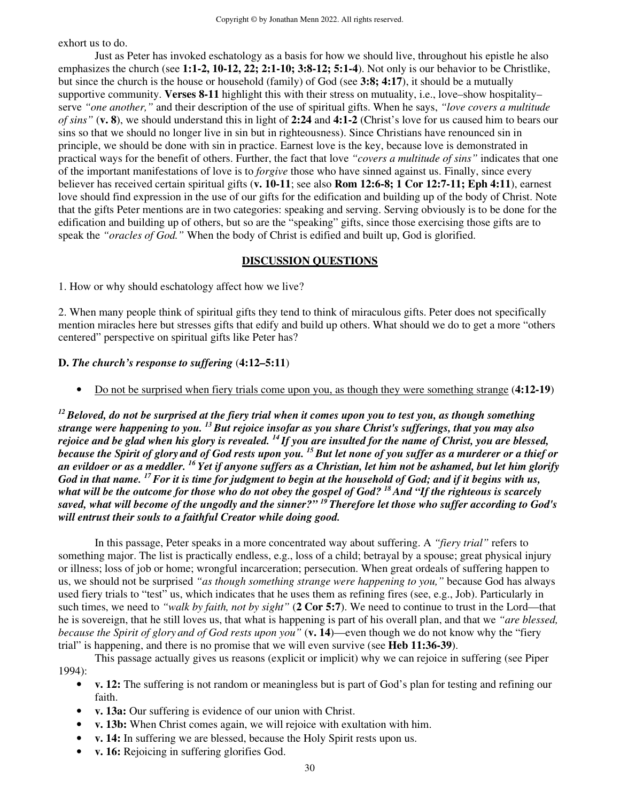exhort us to do.

 Just as Peter has invoked eschatology as a basis for how we should live, throughout his epistle he also emphasizes the church (see **1:1-2, 10-12, 22; 2:1-10; 3:8-12; 5:1-4**). Not only is our behavior to be Christlike, but since the church is the house or household (family) of God (see **3:8; 4:17**), it should be a mutually supportive community. **Verses 8-11** highlight this with their stress on mutuality, i.e., love–show hospitality– serve *"one another,"* and their description of the use of spiritual gifts. When he says, *"love covers a multitude of sins"* (**v. 8**), we should understand this in light of **2:24** and **4:1-2** (Christ's love for us caused him to bears our sins so that we should no longer live in sin but in righteousness). Since Christians have renounced sin in principle, we should be done with sin in practice. Earnest love is the key, because love is demonstrated in practical ways for the benefit of others. Further, the fact that love *"covers a multitude of sins"* indicates that one of the important manifestations of love is to *forgive* those who have sinned against us. Finally, since every believer has received certain spiritual gifts (**v. 10-11**; see also **Rom 12:6-8; 1 Cor 12:7-11; Eph 4:11**), earnest love should find expression in the use of our gifts for the edification and building up of the body of Christ. Note that the gifts Peter mentions are in two categories: speaking and serving. Serving obviously is to be done for the edification and building up of others, but so are the "speaking" gifts, since those exercising those gifts are to speak the *"oracles of God."* When the body of Christ is edified and built up, God is glorified.

## **DISCUSSION QUESTIONS**

1. How or why should eschatology affect how we live?

2. When many people think of spiritual gifts they tend to think of miraculous gifts. Peter does not specifically mention miracles here but stresses gifts that edify and build up others. What should we do to get a more "others centered" perspective on spiritual gifts like Peter has?

## **D.** *The church's response to suffering* (**4:12–5:11**)

• Do not be surprised when fiery trials come upon you, as though they were something strange (**4:12-19**)

*<sup>12</sup>Beloved, do not be surprised at the fiery trial when it comes upon you to test you, as though something strange were happening to you. <sup>13</sup>But rejoice insofar as you share Christ's sufferings, that you may also rejoice and be glad when his glory is revealed. <sup>14</sup>If you are insulted for the name of Christ, you are blessed, because the Spirit of glory and of God rests upon you. <sup>15</sup>But let none of you suffer as a murderer or a thief or an evildoer or as a meddler. <sup>16</sup>Yet if anyone suffers as a Christian, let him not be ashamed, but let him glorify God in that name. <sup>17</sup>For it is time for judgment to begin at the household of God; and if it begins with us, what will be the outcome for those who do not obey the gospel of God? <sup>18</sup>And "If the righteous is scarcely saved, what will become of the ungodly and the sinner?" <sup>19</sup>Therefore let those who suffer according to God's will entrust their souls to a faithful Creator while doing good.* 

 In this passage, Peter speaks in a more concentrated way about suffering. A *"fiery trial"* refers to something major. The list is practically endless, e.g., loss of a child; betrayal by a spouse; great physical injury or illness; loss of job or home; wrongful incarceration; persecution. When great ordeals of suffering happen to us, we should not be surprised *"as though something strange were happening to you,"* because God has always used fiery trials to "test" us, which indicates that he uses them as refining fires (see, e.g., Job). Particularly in such times, we need to *"walk by faith, not by sight"* (**2 Cor 5:7**). We need to continue to trust in the Lord—that he is sovereign, that he still loves us, that what is happening is part of his overall plan, and that we *"are blessed, because the Spirit of glory and of God rests upon you"* (**v. 14**)—even though we do not know why the "fiery trial" is happening, and there is no promise that we will even survive (see **Heb 11:36-39**).

This passage actually gives us reasons (explicit or implicit) why we can rejoice in suffering (see Piper 1994):

- **v. 12:** The suffering is not random or meaningless but is part of God's plan for testing and refining our faith.
- **v. 13a:** Our suffering is evidence of our union with Christ.
- **v. 13b:** When Christ comes again, we will rejoice with exultation with him.
- **v. 14:** In suffering we are blessed, because the Holy Spirit rests upon us.
- **v. 16:** Rejoicing in suffering glorifies God.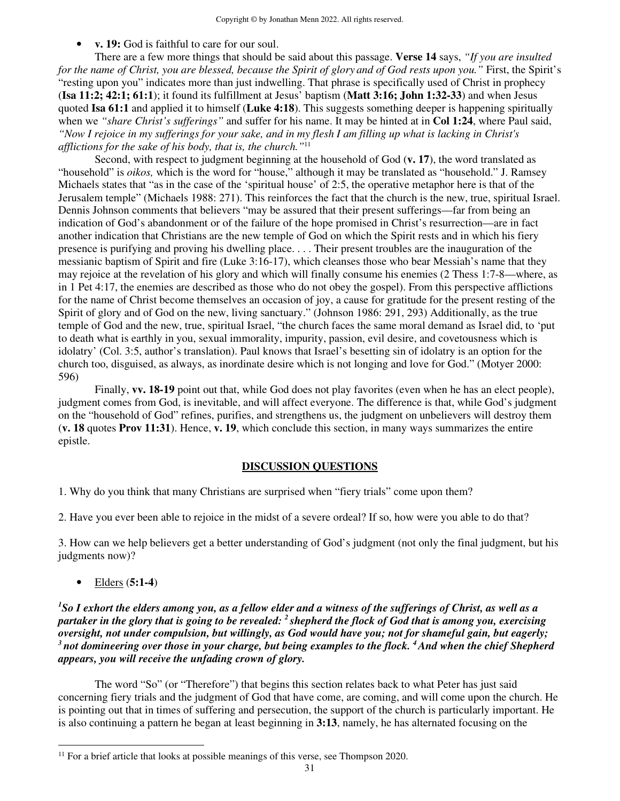• **v. 19:** God is faithful to care for our soul.

There are a few more things that should be said about this passage. **Verse 14** says, *"If you are insulted for the name of Christ, you are blessed, because the Spirit of glory and of God rests upon you."* First, the Spirit's "resting upon you" indicates more than just indwelling. That phrase is specifically used of Christ in prophecy (**Isa 11:2; 42:1; 61:1**); it found its fulfillment at Jesus' baptism (**Matt 3:16; John 1:32-33**) and when Jesus quoted **Isa 61:1** and applied it to himself (**Luke 4:18**). This suggests something deeper is happening spiritually when we *"share Christ's sufferings"* and suffer for his name. It may be hinted at in **Col 1:24**, where Paul said, *"Now I rejoice in my sufferings for your sake, and in my flesh I am filling up what is lacking in Christ's afflictions for the sake of his body, that is, the church."*<sup>11</sup>

Second, with respect to judgment beginning at the household of God (**v. 17**), the word translated as "household" is *oikos,* which is the word for "house," although it may be translated as "household." J. Ramsey Michaels states that "as in the case of the 'spiritual house' of 2:5, the operative metaphor here is that of the Jerusalem temple" (Michaels 1988: 271). This reinforces the fact that the church is the new, true, spiritual Israel. Dennis Johnson comments that believers "may be assured that their present sufferings—far from being an indication of God's abandonment or of the failure of the hope promised in Christ's resurrection—are in fact another indication that Christians are the new temple of God on which the Spirit rests and in which his fiery presence is purifying and proving his dwelling place. . . . Their present troubles are the inauguration of the messianic baptism of Spirit and fire (Luke 3:16-17), which cleanses those who bear Messiah's name that they may rejoice at the revelation of his glory and which will finally consume his enemies (2 Thess 1:7-8—where, as in 1 Pet 4:17, the enemies are described as those who do not obey the gospel). From this perspective afflictions for the name of Christ become themselves an occasion of joy, a cause for gratitude for the present resting of the Spirit of glory and of God on the new, living sanctuary." (Johnson 1986: 291, 293) Additionally, as the true temple of God and the new, true, spiritual Israel, "the church faces the same moral demand as Israel did, to 'put to death what is earthly in you, sexual immorality, impurity, passion, evil desire, and covetousness which is idolatry' (Col. 3:5, author's translation). Paul knows that Israel's besetting sin of idolatry is an option for the church too, disguised, as always, as inordinate desire which is not longing and love for God." (Motyer 2000: 596)

Finally, **vv. 18-19** point out that, while God does not play favorites (even when he has an elect people), judgment comes from God, is inevitable, and will affect everyone. The difference is that, while God's judgment on the "household of God" refines, purifies, and strengthens us, the judgment on unbelievers will destroy them (**v. 18** quotes **Prov 11:31**). Hence, **v. 19**, which conclude this section, in many ways summarizes the entire epistle.

## **DISCUSSION QUESTIONS**

1. Why do you think that many Christians are surprised when "fiery trials" come upon them?

2. Have you ever been able to rejoice in the midst of a severe ordeal? If so, how were you able to do that?

3. How can we help believers get a better understanding of God's judgment (not only the final judgment, but his judgments now)?

• Elders (**5:1-4**)

*<sup>1</sup>So I exhort the elders among you, as a fellow elder and a witness of the sufferings of Christ, as well as a partaker in the glory that is going to be revealed: <sup>2</sup>shepherd the flock of God that is among you, exercising oversight, not under compulsion, but willingly, as God would have you; not for shameful gain, but eagerly; <sup>3</sup>not domineering over those in your charge, but being examples to the flock. <sup>4</sup>And when the chief Shepherd appears, you will receive the unfading crown of glory.* 

 The word "So" (or "Therefore") that begins this section relates back to what Peter has just said concerning fiery trials and the judgment of God that have come, are coming, and will come upon the church. He is pointing out that in times of suffering and persecution, the support of the church is particularly important. He is also continuing a pattern he began at least beginning in **3:13**, namely, he has alternated focusing on the

<sup>&</sup>lt;sup>11</sup> For a brief article that looks at possible meanings of this verse, see Thompson 2020.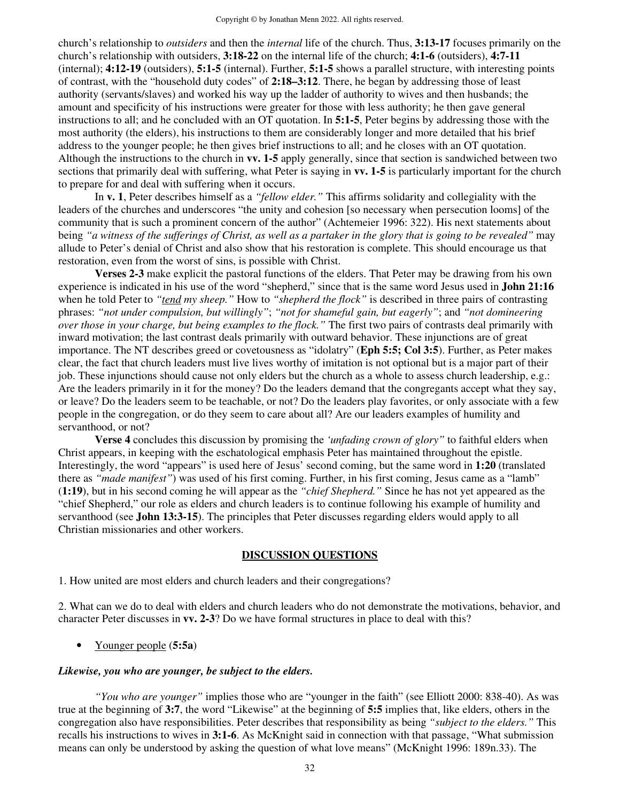church's relationship to *outsiders* and then the *internal* life of the church. Thus, **3:13-17** focuses primarily on the church's relationship with outsiders, **3:18-22** on the internal life of the church; **4:1-6** (outsiders), **4:7-11** (internal); **4:12-19** (outsiders), **5:1-5** (internal). Further, **5:1-5** shows a parallel structure, with interesting points of contrast, with the "household duty codes" of **2:18–3:12**. There, he began by addressing those of least authority (servants/slaves) and worked his way up the ladder of authority to wives and then husbands; the amount and specificity of his instructions were greater for those with less authority; he then gave general instructions to all; and he concluded with an OT quotation. In **5:1-5**, Peter begins by addressing those with the most authority (the elders), his instructions to them are considerably longer and more detailed that his brief address to the younger people; he then gives brief instructions to all; and he closes with an OT quotation. Although the instructions to the church in **vv. 1-5** apply generally, since that section is sandwiched between two sections that primarily deal with suffering, what Peter is saying in **vv. 1-5** is particularly important for the church to prepare for and deal with suffering when it occurs.

 In **v. 1**, Peter describes himself as a *"fellow elder."* This affirms solidarity and collegiality with the leaders of the churches and underscores "the unity and cohesion [so necessary when persecution looms] of the community that is such a prominent concern of the author" (Achtemeier 1996: 322). His next statements about being *"a witness of the sufferings of Christ, as well as a partaker in the glory that is going to be revealed"* may allude to Peter's denial of Christ and also show that his restoration is complete. This should encourage us that restoration, even from the worst of sins, is possible with Christ.

**Verses 2-3** make explicit the pastoral functions of the elders. That Peter may be drawing from his own experience is indicated in his use of the word "shepherd," since that is the same word Jesus used in **John 21:16** when he told Peter to "tend my sheep." How to "shepherd the flock" is described in three pairs of contrasting phrases: *"not under compulsion, but willingly"*; *"not for shameful gain, but eagerly"*; and *"not domineering over those in your charge, but being examples to the flock."* The first two pairs of contrasts deal primarily with inward motivation; the last contrast deals primarily with outward behavior. These injunctions are of great importance. The NT describes greed or covetousness as "idolatry" (**Eph 5:5; Col 3:5**). Further, as Peter makes clear, the fact that church leaders must live lives worthy of imitation is not optional but is a major part of their job. These injunctions should cause not only elders but the church as a whole to assess church leadership, e.g.: Are the leaders primarily in it for the money? Do the leaders demand that the congregants accept what they say, or leave? Do the leaders seem to be teachable, or not? Do the leaders play favorites, or only associate with a few people in the congregation, or do they seem to care about all? Are our leaders examples of humility and servanthood, or not?

**Verse 4** concludes this discussion by promising the *'unfading crown of glory"* to faithful elders when Christ appears, in keeping with the eschatological emphasis Peter has maintained throughout the epistle. Interestingly, the word "appears" is used here of Jesus' second coming, but the same word in **1:20** (translated there as *"made manifest"*) was used of his first coming. Further, in his first coming, Jesus came as a "lamb" (**1:19**), but in his second coming he will appear as the *"chief Shepherd."* Since he has not yet appeared as the "chief Shepherd," our role as elders and church leaders is to continue following his example of humility and servanthood (see **John 13:3-15**). The principles that Peter discusses regarding elders would apply to all Christian missionaries and other workers.

#### **DISCUSSION QUESTIONS**

1. How united are most elders and church leaders and their congregations?

2. What can we do to deal with elders and church leaders who do not demonstrate the motivations, behavior, and character Peter discusses in **vv. 2-3**? Do we have formal structures in place to deal with this?

• Younger people (**5:5a**)

#### *Likewise, you who are younger, be subject to the elders.*

*"You who are younger"* implies those who are "younger in the faith" (see Elliott 2000: 838-40). As was true at the beginning of **3:7**, the word "Likewise" at the beginning of **5:5** implies that, like elders, others in the congregation also have responsibilities. Peter describes that responsibility as being *"subject to the elders."* This recalls his instructions to wives in **3:1-6**. As McKnight said in connection with that passage, "What submission means can only be understood by asking the question of what love means" (McKnight 1996: 189n.33). The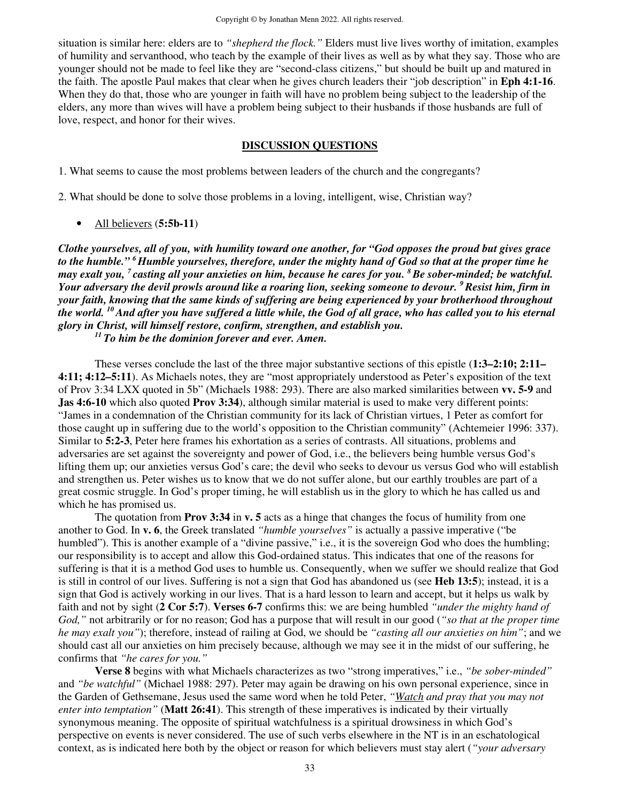situation is similar here: elders are to *"shepherd the flock."* Elders must live lives worthy of imitation, examples of humility and servanthood, who teach by the example of their lives as well as by what they say. Those who are younger should not be made to feel like they are "second-class citizens," but should be built up and matured in the faith. The apostle Paul makes that clear when he gives church leaders their "job description" in **Eph 4:1-16**. When they do that, those who are younger in faith will have no problem being subject to the leadership of the elders, any more than wives will have a problem being subject to their husbands if those husbands are full of love, respect, and honor for their wives.

### **DISCUSSION QUESTIONS**

1. What seems to cause the most problems between leaders of the church and the congregants?

2. What should be done to solve those problems in a loving, intelligent, wise, Christian way?

• All believers (**5:5b-11**)

*Clothe yourselves, all of you, with humility toward one another, for "God opposes the proud but gives grace to the humble." <sup>6</sup>Humble yourselves, therefore, under the mighty hand of God so that at the proper time he may exalt you, <sup>7</sup>casting all your anxieties on him, because he cares for you. <sup>8</sup>Be sober-minded; be watchful. Your adversary the devil prowls around like a roaring lion, seeking someone to devour. <sup>9</sup>Resist him, firm in your faith, knowing that the same kinds of suffering are being experienced by your brotherhood throughout the world. <sup>10</sup>And after you have suffered a little while, the God of all grace, who has called you to his eternal glory in Christ, will himself restore, confirm, strengthen, and establish you.* 

*<sup>11</sup>To him be the dominion forever and ever. Amen.* 

These verses conclude the last of the three major substantive sections of this epistle (**1:3–2:10; 2:11– 4:11; 4:12–5:11**). As Michaels notes, they are "most appropriately understood as Peter's exposition of the text of Prov 3:34 LXX quoted in 5b" (Michaels 1988: 293). There are also marked similarities between **vv. 5-9** and **Jas 4:6-10** which also quoted **Prov 3:34**), although similar material is used to make very different points: "James in a condemnation of the Christian community for its lack of Christian virtues, 1 Peter as comfort for those caught up in suffering due to the world's opposition to the Christian community" (Achtemeier 1996: 337). Similar to **5:2-3**, Peter here frames his exhortation as a series of contrasts. All situations, problems and adversaries are set against the sovereignty and power of God, i.e., the believers being humble versus God's lifting them up; our anxieties versus God's care; the devil who seeks to devour us versus God who will establish and strengthen us. Peter wishes us to know that we do not suffer alone, but our earthly troubles are part of a great cosmic struggle. In God's proper timing, he will establish us in the glory to which he has called us and which he has promised us.

The quotation from **Prov 3:34** in **v. 5** acts as a hinge that changes the focus of humility from one another to God. In **v. 6**, the Greek translated *"humble yourselves"* is actually a passive imperative ("be humbled"). This is another example of a "divine passive," i.e., it is the sovereign God who does the humbling; our responsibility is to accept and allow this God-ordained status. This indicates that one of the reasons for suffering is that it is a method God uses to humble us. Consequently, when we suffer we should realize that God is still in control of our lives. Suffering is not a sign that God has abandoned us (see **Heb 13:5**); instead, it is a sign that God is actively working in our lives. That is a hard lesson to learn and accept, but it helps us walk by faith and not by sight (**2 Cor 5:7**). **Verses 6-7** confirms this: we are being humbled *"under the mighty hand of God,"* not arbitrarily or for no reason; God has a purpose that will result in our good (*"so that at the proper time he may exalt you"*); therefore, instead of railing at God, we should be *"casting all our anxieties on him"*; and we should cast all our anxieties on him precisely because, although we may see it in the midst of our suffering, he confirms that *"he cares for you."* 

**Verse 8** begins with what Michaels characterizes as two "strong imperatives," i.e., *"be sober-minded"*  and *"be watchful"* (Michael 1988: 297). Peter may again be drawing on his own personal experience, since in the Garden of Gethsemane, Jesus used the same word when he told Peter, *"Watch and pray that you may not enter into temptation"* (**Matt 26:41**). This strength of these imperatives is indicated by their virtually synonymous meaning. The opposite of spiritual watchfulness is a spiritual drowsiness in which God's perspective on events is never considered. The use of such verbs elsewhere in the NT is in an eschatological context, as is indicated here both by the object or reason for which believers must stay alert (*"your adversary*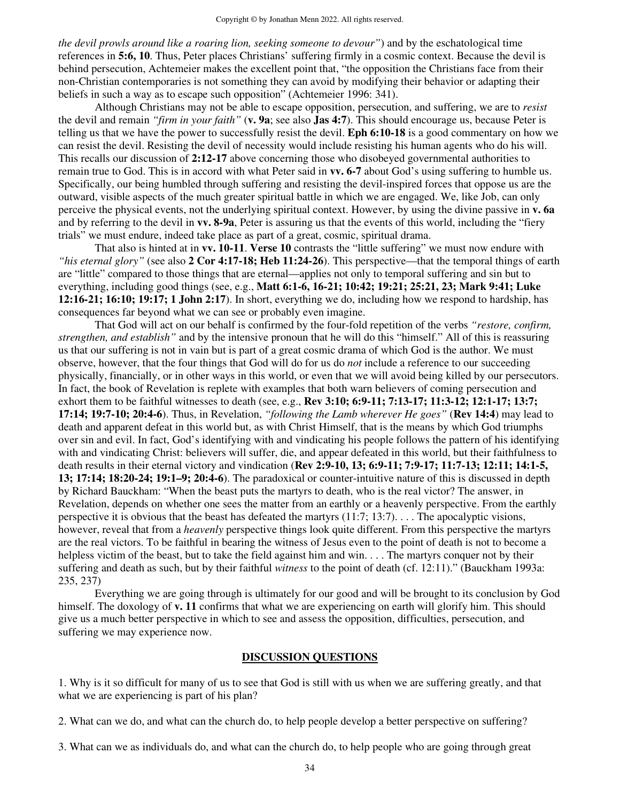*the devil prowls around like a roaring lion, seeking someone to devour"*) and by the eschatological time references in **5:6, 10**. Thus, Peter places Christians' suffering firmly in a cosmic context. Because the devil is behind persecution, Achtemeier makes the excellent point that, "the opposition the Christians face from their non-Christian contemporaries is not something they can avoid by modifying their behavior or adapting their beliefs in such a way as to escape such opposition" (Achtemeier 1996: 341).

Although Christians may not be able to escape opposition, persecution, and suffering, we are to *resist* the devil and remain *"firm in your faith"* (**v. 9a**; see also **Jas 4:7**). This should encourage us, because Peter is telling us that we have the power to successfully resist the devil. **Eph 6:10-18** is a good commentary on how we can resist the devil. Resisting the devil of necessity would include resisting his human agents who do his will. This recalls our discussion of **2:12-17** above concerning those who disobeyed governmental authorities to remain true to God. This is in accord with what Peter said in **vv. 6-7** about God's using suffering to humble us. Specifically, our being humbled through suffering and resisting the devil-inspired forces that oppose us are the outward, visible aspects of the much greater spiritual battle in which we are engaged. We, like Job, can only perceive the physical events, not the underlying spiritual context. However, by using the divine passive in **v. 6a** and by referring to the devil in **vv. 8-9a**, Peter is assuring us that the events of this world, including the "fiery trials" we must endure, indeed take place as part of a great, cosmic, spiritual drama.

That also is hinted at in **vv. 10-11**. **Verse 10** contrasts the "little suffering" we must now endure with *"his eternal glory"* (see also **2 Cor 4:17-18; Heb 11:24-26**). This perspective—that the temporal things of earth are "little" compared to those things that are eternal—applies not only to temporal suffering and sin but to everything, including good things (see, e.g., **Matt 6:1-6, 16-21; 10:42; 19:21; 25:21, 23; Mark 9:41; Luke 12:16-21; 16:10; 19:17; 1 John 2:17**). In short, everything we do, including how we respond to hardship, has consequences far beyond what we can see or probably even imagine.

That God will act on our behalf is confirmed by the four-fold repetition of the verbs *"restore, confirm, strengthen, and establish"* and by the intensive pronoun that he will do this "himself." All of this is reassuring us that our suffering is not in vain but is part of a great cosmic drama of which God is the author. We must observe, however, that the four things that God will do for us do *not* include a reference to our succeeding physically, financially, or in other ways in this world, or even that we will avoid being killed by our persecutors. In fact, the book of Revelation is replete with examples that both warn believers of coming persecution and exhort them to be faithful witnesses to death (see, e.g., **Rev 3:10; 6:9-11; 7:13-17; 11:3-12; 12:1-17; 13:7; 17:14; 19:7-10; 20:4-6**). Thus, in Revelation, *"following the Lamb wherever He goes"* (**Rev 14:4**) may lead to death and apparent defeat in this world but, as with Christ Himself, that is the means by which God triumphs over sin and evil. In fact, God's identifying with and vindicating his people follows the pattern of his identifying with and vindicating Christ: believers will suffer, die, and appear defeated in this world, but their faithfulness to death results in their eternal victory and vindication (**Rev 2:9-10, 13; 6:9-11; 7:9-17; 11:7-13; 12:11; 14:1-5, 13; 17:14; 18:20-24; 19:1–9; 20:4-6**). The paradoxical or counter-intuitive nature of this is discussed in depth by Richard Bauckham: "When the beast puts the martyrs to death, who is the real victor? The answer, in Revelation, depends on whether one sees the matter from an earthly or a heavenly perspective. From the earthly perspective it is obvious that the beast has defeated the martyrs (11:7; 13:7). . . . The apocalyptic visions, however, reveal that from a *heavenly* perspective things look quite different. From this perspective the martyrs are the real victors. To be faithful in bearing the witness of Jesus even to the point of death is not to become a helpless victim of the beast, but to take the field against him and win. . . . The martyrs conquer not by their suffering and death as such, but by their faithful *witness* to the point of death (cf. 12:11)." (Bauckham 1993a: 235, 237)

Everything we are going through is ultimately for our good and will be brought to its conclusion by God himself. The doxology of **v. 11** confirms that what we are experiencing on earth will glorify him. This should give us a much better perspective in which to see and assess the opposition, difficulties, persecution, and suffering we may experience now.

## **DISCUSSION QUESTIONS**

1. Why is it so difficult for many of us to see that God is still with us when we are suffering greatly, and that what we are experiencing is part of his plan?

2. What can we do, and what can the church do, to help people develop a better perspective on suffering?

3. What can we as individuals do, and what can the church do, to help people who are going through great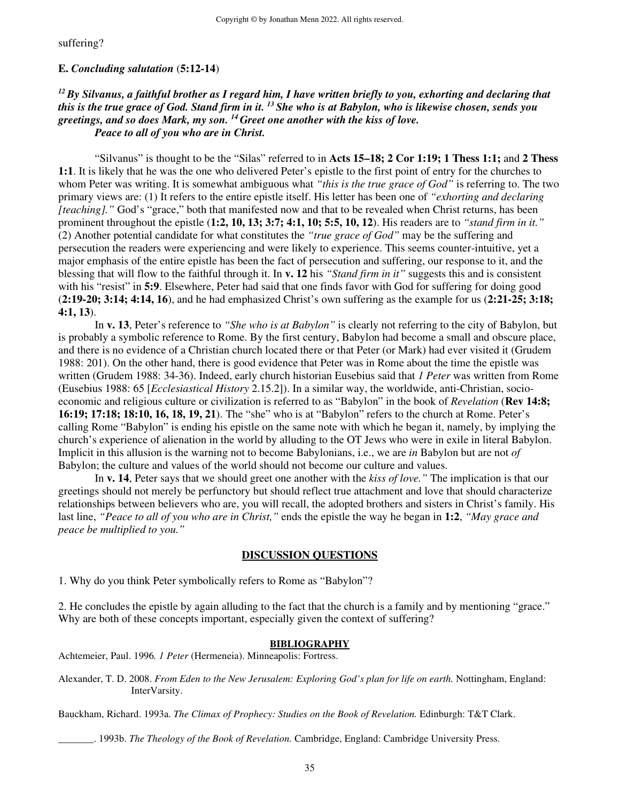suffering?

#### **E.** *Concluding salutation* (**5:12-14**)

## *<sup>12</sup>By Silvanus, a faithful brother as I regard him, I have written briefly to you, exhorting and declaring that this is the true grace of God. Stand firm in it. <sup>13</sup>She who is at Babylon, who is likewise chosen, sends you greetings, and so does Mark, my son. <sup>14</sup>Greet one another with the kiss of love. Peace to all of you who are in Christ.*

"Silvanus" is thought to be the "Silas" referred to in **Acts 15–18; 2 Cor 1:19; 1 Thess 1:1;** and **2 Thess 1:1**. It is likely that he was the one who delivered Peter's epistle to the first point of entry for the churches to whom Peter was writing. It is somewhat ambiguous what *"this is the true grace of God"* is referring to. The two primary views are: (1) It refers to the entire epistle itself. His letter has been one of *"exhorting and declaring [teaching]."* God's "grace," both that manifested now and that to be revealed when Christ returns, has been prominent throughout the epistle (**1:2, 10, 13; 3:7; 4:1, 10; 5:5, 10, 12**). His readers are to *"stand firm in it."*  (2) Another potential candidate for what constitutes the *"true grace of God"* may be the suffering and persecution the readers were experiencing and were likely to experience. This seems counter-intuitive, yet a major emphasis of the entire epistle has been the fact of persecution and suffering, our response to it, and the blessing that will flow to the faithful through it. In **v. 12** his *"Stand firm in it"* suggests this and is consistent with his "resist" in **5:9**. Elsewhere, Peter had said that one finds favor with God for suffering for doing good (**2:19-20; 3:14; 4:14, 16**), and he had emphasized Christ's own suffering as the example for us (**2:21-25; 3:18; 4:1, 13**).

In **v. 13**, Peter's reference to *"She who is at Babylon"* is clearly not referring to the city of Babylon, but is probably a symbolic reference to Rome. By the first century, Babylon had become a small and obscure place, and there is no evidence of a Christian church located there or that Peter (or Mark) had ever visited it (Grudem 1988: 201). On the other hand, there is good evidence that Peter was in Rome about the time the epistle was written (Grudem 1988: 34-36). Indeed, early church historian Eusebius said that *1 Peter* was written from Rome (Eusebius 1988: 65 [*Ecclesiastical History* 2.15.2]). In a similar way, the worldwide, anti-Christian, socioeconomic and religious culture or civilization is referred to as "Babylon" in the book of *Revelation* (**Rev 14:8; 16:19; 17:18; 18:10, 16, 18, 19, 21**). The "she" who is at "Babylon" refers to the church at Rome. Peter's calling Rome "Babylon" is ending his epistle on the same note with which he began it, namely, by implying the church's experience of alienation in the world by alluding to the OT Jews who were in exile in literal Babylon. Implicit in this allusion is the warning not to become Babylonians, i.e., we are *in* Babylon but are not *of* Babylon; the culture and values of the world should not become our culture and values.

 In **v. 14**, Peter says that we should greet one another with the *kiss of love."* The implication is that our greetings should not merely be perfunctory but should reflect true attachment and love that should characterize relationships between believers who are, you will recall, the adopted brothers and sisters in Christ's family. His last line, *"Peace to all of you who are in Christ,"* ends the epistle the way he began in **1:2**, *"May grace and peace be multiplied to you."* 

#### **DISCUSSION QUESTIONS**

1. Why do you think Peter symbolically refers to Rome as "Babylon"?

2. He concludes the epistle by again alluding to the fact that the church is a family and by mentioning "grace." Why are both of these concepts important, especially given the context of suffering?

#### **BIBLIOGRAPHY**

Achtemeier, Paul. 1996*. 1 Peter* (Hermeneia). Minneapolis: Fortress.

Alexander, T. D. 2008. *From Eden to the New Jerusalem: Exploring God's plan for life on earth.* Nottingham, England: InterVarsity.

Bauckham, Richard. 1993a. *The Climax of Prophecy: Studies on the Book of Revelation.* Edinburgh: T&T Clark.

\_\_\_\_\_\_\_. 1993b. *The Theology of the Book of Revelation.* Cambridge, England: Cambridge University Press.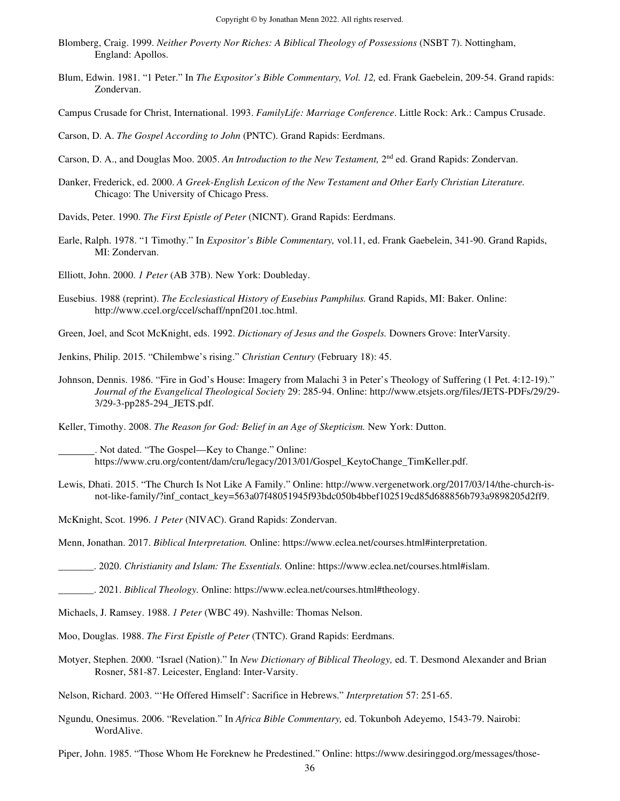- Blomberg, Craig. 1999. *Neither Poverty Nor Riches: A Biblical Theology of Possessions* (NSBT 7). Nottingham, England: Apollos.
- Blum, Edwin. 1981. "1 Peter." In *The Expositor's Bible Commentary, Vol. 12,* ed. Frank Gaebelein, 209-54. Grand rapids: Zondervan.
- Campus Crusade for Christ, International. 1993. *FamilyLife: Marriage Conference*. Little Rock: Ark.: Campus Crusade.
- Carson, D. A. *The Gospel According to John* (PNTC). Grand Rapids: Eerdmans.
- Carson, D. A., and Douglas Moo. 2005. An Introduction to the New Testament, 2<sup>nd</sup> ed. Grand Rapids: Zondervan.
- Danker, Frederick, ed. 2000. *A Greek-English Lexicon of the New Testament and Other Early Christian Literature.*  Chicago: The University of Chicago Press.
- Davids, Peter. 1990. *The First Epistle of Peter* (NICNT). Grand Rapids: Eerdmans.
- Earle, Ralph. 1978. "1 Timothy." In *Expositor's Bible Commentary,* vol.11, ed. Frank Gaebelein, 341-90. Grand Rapids, MI: Zondervan.
- Elliott, John. 2000. *1 Peter* (AB 37B). New York: Doubleday.
- Eusebius. 1988 (reprint). *The Ecclesiastical History of Eusebius Pamphilus.* Grand Rapids, MI: Baker. Online: http://www.ccel.org/ccel/schaff/npnf201.toc.html.

Green, Joel, and Scot McKnight, eds. 1992. *Dictionary of Jesus and the Gospels.* Downers Grove: InterVarsity.

- Jenkins, Philip. 2015. "Chilembwe's rising." *Christian Century* (February 18): 45.
- Johnson, Dennis. 1986. "Fire in God's House: Imagery from Malachi 3 in Peter's Theology of Suffering (1 Pet. 4:12-19)." *Journal of the Evangelical Theological Society* 29: 285-94. Online: http://www.etsjets.org/files/JETS-PDFs/29/29- 3/29-3-pp285-294\_JETS.pdf.

Keller, Timothy. 2008. *The Reason for God: Belief in an Age of Skepticism.* New York: Dutton.

- . Not dated. "The Gospel—Key to Change." Online: https://www.cru.org/content/dam/cru/legacy/2013/01/Gospel\_KeytoChange\_TimKeller.pdf.
- Lewis, Dhati. 2015. "The Church Is Not Like A Family." Online: http://www.vergenetwork.org/2017/03/14/the-church-isnot-like-family/?inf\_contact\_key=563a07f48051945f93bdc050b4bbef102519cd85d688856b793a9898205d2ff9.

McKnight, Scot. 1996. *1 Peter* (NIVAC). Grand Rapids: Zondervan.

Menn, Jonathan. 2017. *Biblical Interpretation.* Online: https://www.eclea.net/courses.html#interpretation.

\_\_\_\_\_\_\_. 2020. *Christianity and Islam: The Essentials.* Online: https://www.eclea.net/courses.html#islam.

\_\_\_\_\_\_\_. 2021. *Biblical Theology.* Online: https://www.eclea.net/courses.html#theology.

- Michaels, J. Ramsey. 1988. *1 Peter* (WBC 49). Nashville: Thomas Nelson.
- Moo, Douglas. 1988. *The First Epistle of Peter* (TNTC). Grand Rapids: Eerdmans.
- Motyer, Stephen. 2000. "Israel (Nation)." In *New Dictionary of Biblical Theology,* ed. T. Desmond Alexander and Brian Rosner, 581-87. Leicester, England: Inter-Varsity.

Nelson, Richard. 2003. "'He Offered Himself': Sacrifice in Hebrews." *Interpretation* 57: 251-65.

Ngundu, Onesimus. 2006. "Revelation." In *Africa Bible Commentary,* ed. Tokunboh Adeyemo, 1543-79. Nairobi: WordAlive.

Piper, John. 1985. "Those Whom He Foreknew he Predestined." Online: https://www.desiringgod.org/messages/those-